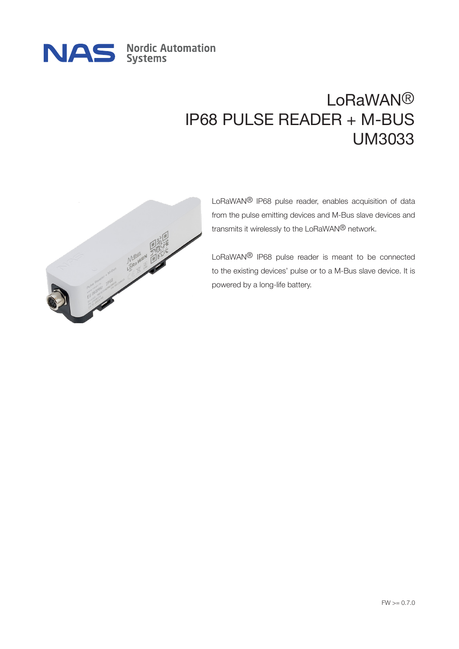

# LoRaWAN® IP68 PULSE READER + M-BUS UM3033



LoRaWAN® IP68 pulse reader, enables acquisition of data from the pulse emitting devices and M-Bus slave devices and transmits it wirelessly to the LoRaWAN® network.

LoRaWAN® IP68 pulse reader is meant to be connected to the existing devices' pulse or to a M-Bus slave device. It is powered by a long-life battery.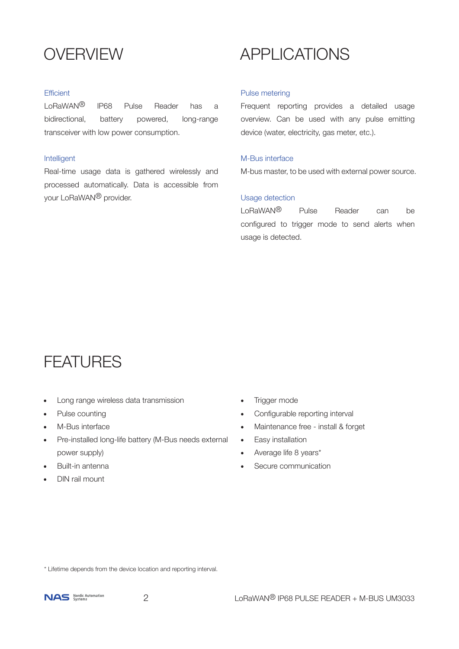## **OVERVIEW**

#### **Efficient**

LoRaWAN® IP68 Pulse Reader has a bidirectional, battery powered, long-range transceiver with low power consumption.

#### Intelligent

Real-time usage data is gathered wirelessly and processed automatically. Data is accessible from your LoRaWAN® provider.

## APPLICATIONS

#### Pulse metering

Frequent reporting provides a detailed usage overview. Can be used with any pulse emitting device (water, electricity, gas meter, etc.).

#### M-Bus interface

M-bus master, to be used with external power source.

#### Usage detection

LoRaWAN® Pulse Reader can be configured to trigger mode to send alerts when usage is detected.

## **FEATURES**

- Long range wireless data transmission
- Pulse counting
- M-Bus interface
- Pre-installed long-life battery (M-Bus needs external power supply)
- Built-in antenna
- DIN rail mount
- Trigger mode
- Configurable reporting interval
- Maintenance free install & forget
- Easy installation
- Average life 8 years\*
- Secure communication

\* Lifetime depends from the device location and reporting interval.

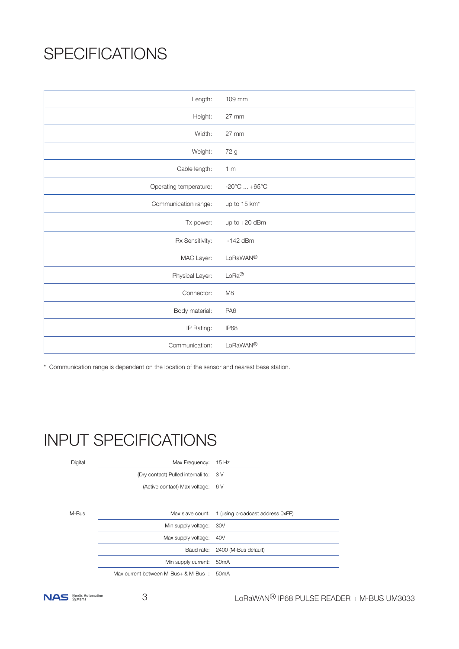# **SPECIFICATIONS**

| Length:                | 109 mm                          |
|------------------------|---------------------------------|
| Height:                | $27$ mm                         |
| Width:                 | 27 mm                           |
| Weight:                | 72 g                            |
| Cable length:          | 1 <sub>m</sub>                  |
| Operating temperature: | $-20^{\circ}$ C $+65^{\circ}$ C |
| Communication range:   | up to 15 km <sup>*</sup>        |
| Tx power:              | up to +20 dBm                   |
| Rx Sensitivity:        | $-142$ dBm                      |
| MAC Layer:             | LoRaWAN®                        |
| Physical Layer:        | $LoRa^{\circledR}$              |
| Connector:             | M <sub>8</sub>                  |
| Body material:         | PA <sub>6</sub>                 |
| IP Rating:             | IP68                            |
| Communication:         | LoRaWAN®                        |

\* Communication range is dependent on the location of the sensor and nearest base station.

# INPUT SPECIFICATIONS

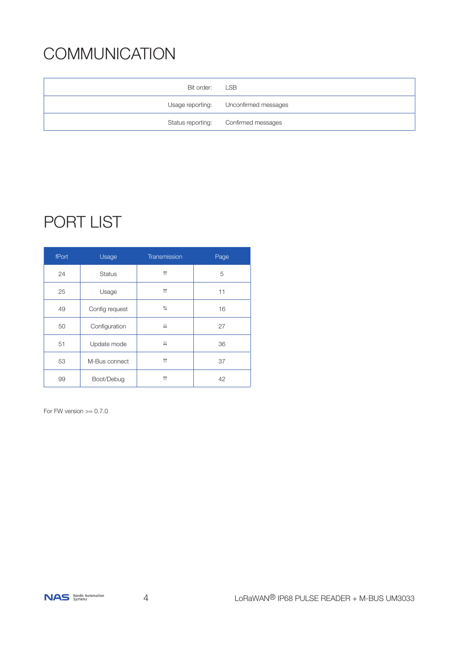# **COMMUNICATION**

| Bit order: | LSB                                   |
|------------|---------------------------------------|
|            | Usage reporting: Unconfirmed messages |
|            | Status reporting: Confirmed messages  |

# PORT LIST

| fPort | Usage          | Transmission       | Page |
|-------|----------------|--------------------|------|
| 24    | <b>Status</b>  | $\uparrow$         | 5    |
| 25    | Usage          | $\uparrow$         | 11   |
| 49    | Config request | 14                 | 16   |
| 50    | Configuration  | ⇊                  | 27   |
| 51    | Update mode    | ⇊                  | 36   |
| 53    | M-Bus connect  | $\uparrow$         | 37   |
| 99    | Boot/Debug     | $\uparrow\uparrow$ | 42   |

For FW version  $>= 0.7.0$ 

NAS Nordic Automation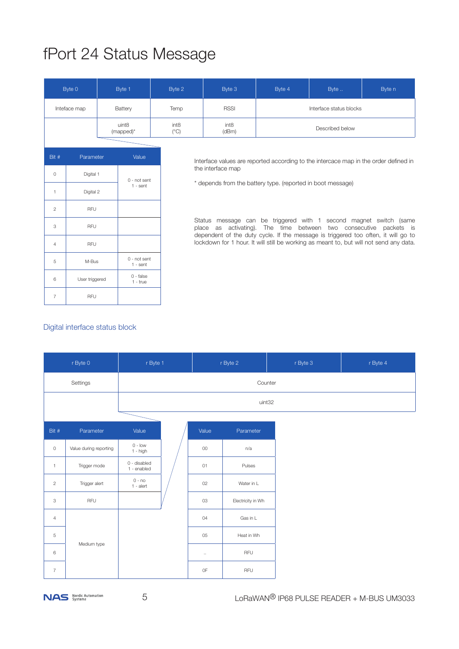# fPort 24 Status Message

|                | Byte 0                                                                               |  | Byte 1                       | Byte 2                                                                               | Byte 3                                                                                                                                                                      | Byte 4 | Byte            | Byte n                                                                                                           |  |  |  |
|----------------|--------------------------------------------------------------------------------------|--|------------------------------|--------------------------------------------------------------------------------------|-----------------------------------------------------------------------------------------------------------------------------------------------------------------------------|--------|-----------------|------------------------------------------------------------------------------------------------------------------|--|--|--|
|                | Inteface map                                                                         |  | Battery                      | <b>RSSI</b><br>Temp<br>Interface status blocks                                       |                                                                                                                                                                             |        |                 |                                                                                                                  |  |  |  |
|                | uint8<br>int <sub>8</sub><br>int <sub>8</sub><br>$(^{\circ}C)$<br>(dBm)<br>(mapped)* |  |                              |                                                                                      |                                                                                                                                                                             |        | Described below |                                                                                                                  |  |  |  |
|                |                                                                                      |  |                              |                                                                                      |                                                                                                                                                                             |        |                 |                                                                                                                  |  |  |  |
| Bit #          | Parameter                                                                            |  | Value                        | Interface values are reported according to the intercace map in the order defined in |                                                                                                                                                                             |        |                 |                                                                                                                  |  |  |  |
| $\circ$        | Digital 1                                                                            |  |                              | the interface map                                                                    |                                                                                                                                                                             |        |                 |                                                                                                                  |  |  |  |
| $\mathbf{1}$   | Digital 2                                                                            |  | $0 - not sent$<br>$1 - sent$ |                                                                                      | * depends from the battery type. (reported in boot message)                                                                                                                 |        |                 |                                                                                                                  |  |  |  |
| $\overline{c}$ | <b>RFU</b>                                                                           |  |                              |                                                                                      |                                                                                                                                                                             |        |                 |                                                                                                                  |  |  |  |
| 3              | <b>RFU</b>                                                                           |  |                              |                                                                                      | activating).<br>place<br>as                                                                                                                                                 |        |                 | Status message can be triggered with 1 second magnet switch (same<br>The time between two consecutive packets is |  |  |  |
| $\overline{4}$ | <b>RFU</b>                                                                           |  |                              |                                                                                      | dependent of the duty cycle. If the message is triggered too often, it will go to<br>lockdown for 1 hour. It will still be working as meant to, but will not send any data. |        |                 |                                                                                                                  |  |  |  |
| 5              | M-Bus                                                                                |  | 0 - not sent<br>$1 - sent$   |                                                                                      |                                                                                                                                                                             |        |                 |                                                                                                                  |  |  |  |
| 6              | User triggered                                                                       |  | $0 - false$<br>$1 - true$    |                                                                                      |                                                                                                                                                                             |        |                 |                                                                                                                  |  |  |  |
| $\overline{7}$ | <b>RFU</b>                                                                           |  |                              |                                                                                      |                                                                                                                                                                             |        |                 |                                                                                                                  |  |  |  |

## Digital interface status block

|                | r Byte 0               | r Byte 1                    |  | r Byte 2       |                   | r Byte 3 | r Byte 4 |
|----------------|------------------------|-----------------------------|--|----------------|-------------------|----------|----------|
|                | Settings               |                             |  |                | Counter           |          |          |
|                |                        | uint32                      |  |                |                   |          |          |
|                |                        |                             |  |                |                   |          |          |
| Bit #          | Parameter              | Value                       |  | Value          | Parameter         |          |          |
| $\circ$        | Value during reporting | $0 - low$<br>$1 - high$     |  | 00             | n/a               |          |          |
| $\mathbf{1}$   | Trigger mode           | 0 - disabled<br>1 - enabled |  | O <sub>1</sub> | Pulses            |          |          |
| $\overline{c}$ | Trigger alert          | $0 - no$<br>$1 -$ alert     |  | 02             | Water in L        |          |          |
| 3              | RFU                    |                             |  | 03             | Electricity in Wh |          |          |
| $\sqrt{4}$     |                        |                             |  | 04             | Gas in L          |          |          |
| 5              |                        |                             |  | 05             | Heat in Wh        |          |          |
| 6              | Medium type            |                             |  | $\cdots$       | RFU               |          |          |
| $\overline{7}$ |                        |                             |  | OF             | <b>RFU</b>        |          |          |

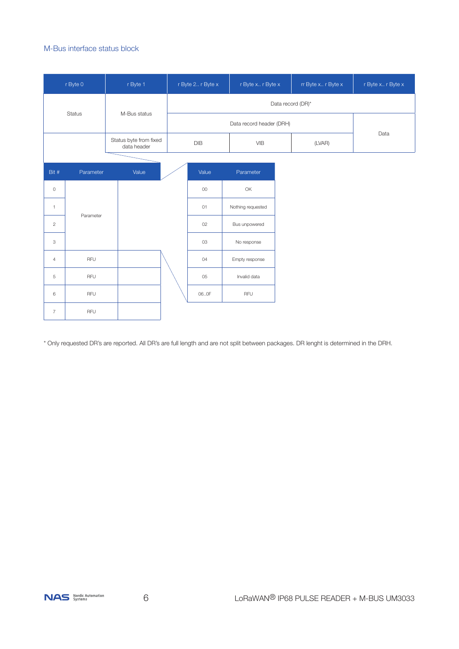#### M-Bus interface status block

|                | r Byte 0      | r Byte 1                              | r Byte 2 r Byte x        | r Byte x r Byte x |  | rr Byte x r Byte x | r Byte x r Byte x |  |
|----------------|---------------|---------------------------------------|--------------------------|-------------------|--|--------------------|-------------------|--|
|                |               |                                       | Data record (DR)*        |                   |  |                    |                   |  |
|                | <b>Status</b> | M-Bus status                          | Data record header (DRH) |                   |  |                    |                   |  |
|                |               | Status byte from fixed<br>data header | DIB                      | <b>VIB</b>        |  | (LVAR)             | Data              |  |
|                |               |                                       |                          |                   |  |                    |                   |  |
| Bit #          | Parameter     | Value                                 | Value                    | Parameter         |  |                    |                   |  |
| $\circ$        |               |                                       | 00                       | OK                |  |                    |                   |  |
| $\mathbf{1}$   |               |                                       | O <sub>1</sub>           | Nothing requested |  |                    |                   |  |
| $\overline{c}$ | Parameter     |                                       | 02                       | Bus unpowered     |  |                    |                   |  |
| 3              |               |                                       | 03                       | No response       |  |                    |                   |  |
| $\overline{4}$ | <b>RFU</b>    |                                       | 04                       | Empty response    |  |                    |                   |  |
| 5              | RFU           |                                       | 05                       | Invalid data      |  |                    |                   |  |
| $\,6\,$        | <b>RFU</b>    |                                       | 060F                     | <b>RFU</b>        |  |                    |                   |  |
| $\overline{7}$ | <b>RFU</b>    |                                       |                          |                   |  |                    |                   |  |

\* Only requested DR's are reported. All DR's are full length and are not split between packages. DR lenght is determined in the DRH.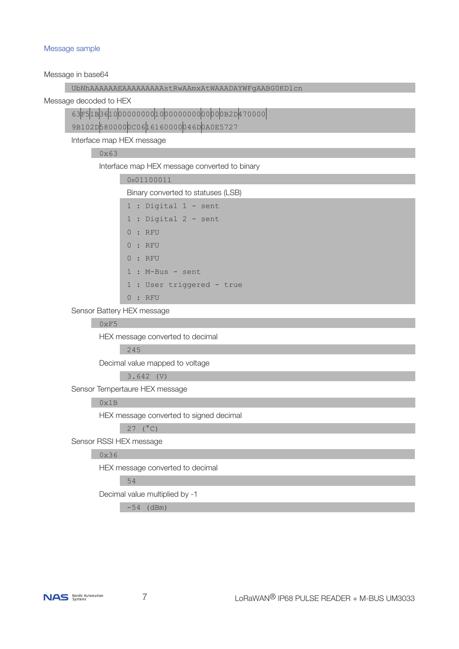#### Message sample

Message in base64

| Message in base64                                   |  |  |  |  |  |  |  |  |
|-----------------------------------------------------|--|--|--|--|--|--|--|--|
| UbNhAAAAAAEAAAAAAAAAAstRwAAmxAtWAAADAYWFgAABG0KDlcn |  |  |  |  |  |  |  |  |
| Message decoded to HEX                              |  |  |  |  |  |  |  |  |
| $63F51B3610000000001000000000000000082D470000$      |  |  |  |  |  |  |  |  |
| 9B102D5800000C0616160000046D0A0E5727                |  |  |  |  |  |  |  |  |
| Interface map HEX message                           |  |  |  |  |  |  |  |  |
| 0x63                                                |  |  |  |  |  |  |  |  |
| Interface map HEX message converted to binary       |  |  |  |  |  |  |  |  |
| 0B01100011                                          |  |  |  |  |  |  |  |  |
| Binary converted to statuses (LSB)                  |  |  |  |  |  |  |  |  |
| 1 : Digital 1 - sent                                |  |  |  |  |  |  |  |  |
| 1 : Digital 2 - sent                                |  |  |  |  |  |  |  |  |
| 0:RFU                                               |  |  |  |  |  |  |  |  |
| 0:RFU                                               |  |  |  |  |  |  |  |  |
| 0:RFU                                               |  |  |  |  |  |  |  |  |
| $1: M-Bus - sent$                                   |  |  |  |  |  |  |  |  |
| 1 : User triggered - true                           |  |  |  |  |  |  |  |  |
| 0:RFU                                               |  |  |  |  |  |  |  |  |
| Sensor Battery HEX message                          |  |  |  |  |  |  |  |  |
| 0xF5                                                |  |  |  |  |  |  |  |  |
| HEX message converted to decimal                    |  |  |  |  |  |  |  |  |
| 245                                                 |  |  |  |  |  |  |  |  |
| Decimal value mapped to voltage                     |  |  |  |  |  |  |  |  |
| $3.642$ (V)                                         |  |  |  |  |  |  |  |  |
|                                                     |  |  |  |  |  |  |  |  |

Sensor Tempertaure HEX message

## $0x1B$

HEX message converted to signed decimal

 $27$  (°C)

Sensor RSSI HEX message

#### 0x36

HEX message converted to decimal

54

Decimal value multiplied by -1

 $-54$  (dBm)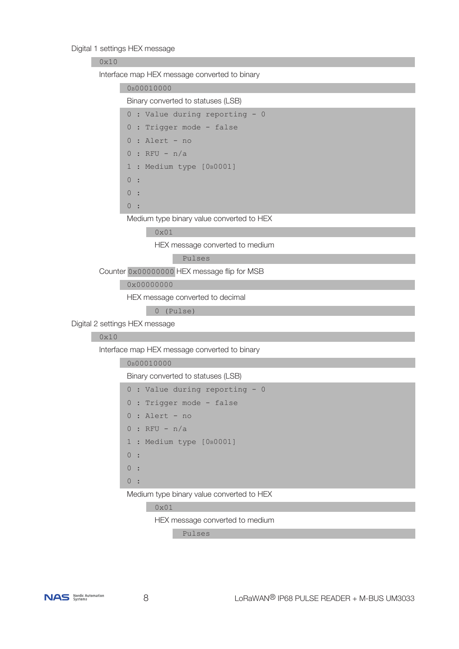### Digital 1 settings HEX message

#### 0x10

Interface map HEX message converted to binary

|                                | 0B00010000                                      |  |  |  |  |  |  |  |  |  |
|--------------------------------|-------------------------------------------------|--|--|--|--|--|--|--|--|--|
|                                | Binary converted to statuses (LSB)              |  |  |  |  |  |  |  |  |  |
|                                | $0:$ Value during reporting - 0                 |  |  |  |  |  |  |  |  |  |
|                                | 0 : Trigger mode - false                        |  |  |  |  |  |  |  |  |  |
|                                | : Alert - no<br>$\overline{0}$<br>$0:RFU - n/a$ |  |  |  |  |  |  |  |  |  |
|                                |                                                 |  |  |  |  |  |  |  |  |  |
| 1 : Medium type [0B0001]       |                                                 |  |  |  |  |  |  |  |  |  |
|                                | $\circ$<br>$\mathbf{r}$                         |  |  |  |  |  |  |  |  |  |
|                                | $\overline{0}$<br>$\mathbf{r}$                  |  |  |  |  |  |  |  |  |  |
|                                | 0:                                              |  |  |  |  |  |  |  |  |  |
|                                | Medium type binary value converted to HEX       |  |  |  |  |  |  |  |  |  |
|                                | $0 \times 01$                                   |  |  |  |  |  |  |  |  |  |
|                                | HEX message converted to medium                 |  |  |  |  |  |  |  |  |  |
|                                | Pulses                                          |  |  |  |  |  |  |  |  |  |
|                                | Counter 0x00000000 HEX message flip for MSB     |  |  |  |  |  |  |  |  |  |
|                                | 0x00000000                                      |  |  |  |  |  |  |  |  |  |
|                                | HEX message converted to decimal                |  |  |  |  |  |  |  |  |  |
|                                | 0 (Pulse)                                       |  |  |  |  |  |  |  |  |  |
| Digital 2 settings HEX message |                                                 |  |  |  |  |  |  |  |  |  |
| 0x10                           |                                                 |  |  |  |  |  |  |  |  |  |
|                                | Interface map HEX message converted to binary   |  |  |  |  |  |  |  |  |  |
|                                | OB00010000                                      |  |  |  |  |  |  |  |  |  |
|                                | Binary converted to statuses (LSB)              |  |  |  |  |  |  |  |  |  |
|                                | 0 : Value during reporting - 0                  |  |  |  |  |  |  |  |  |  |
|                                | 0 : Trigger mode - false                        |  |  |  |  |  |  |  |  |  |
|                                | : Alert - no<br>$\overline{0}$                  |  |  |  |  |  |  |  |  |  |
|                                | $:$ RFU - $n/a$<br>$\overline{0}$               |  |  |  |  |  |  |  |  |  |
|                                | 1 : Medium type [0B0001]                        |  |  |  |  |  |  |  |  |  |

 $\begin{array}{ccc} & & 0 & \vdots \\ & & & \end{array}$ 

 $0 :$ 

0 :

Medium type binary value converted to HEX

0x01

HEX message converted to medium

Pulses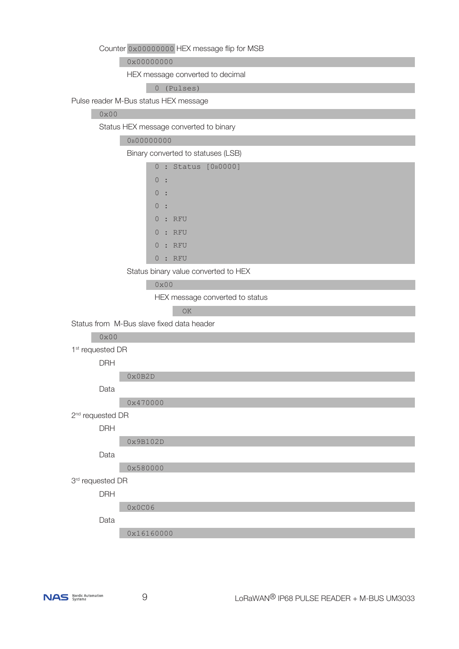Counter 0x00000000 HEX message flip for MSB

0x00000000

HEX message converted to decimal

0 (Pulses)

Pulse reader M-Bus status HEX message

## 0x00

Status HEX message converted to binary

|  | 0 <sub>B</sub> 00000000 |
|--|-------------------------|
|--|-------------------------|

Binary converted to statuses (LSB)

|                |                          |       | $0:$ Status [0B0000] |
|----------------|--------------------------|-------|----------------------|
| 0:             |                          |       |                      |
| 0:             |                          |       |                      |
| $\overline{0}$ | $\overline{\phantom{a}}$ |       |                      |
|                |                          | 0:RFU |                      |
|                |                          | 0:RFU |                      |
|                |                          | 0:RFU |                      |
| 0              |                          | : RFU |                      |

Status binary value converted to HEX

0x00

HEX message converted to status

<u>North Contract of the Contract of the Contract of the Contract of the Contract of the Contract of the Contract of the Contract of the Contract of the Contract of the Contract of the Contract of the Contract of the Contrac</u>

Status from M-Bus slave fixed data header

0x00

1<sup>st</sup> requested DR

DRH

0x0B2D

Data

0x470000

2<sup>nd</sup> requested DR

DRH

0x9B102D

Data

0x580000

3<sup>rd</sup> requested DR

DRH

0x0C06

Data

0x16160000

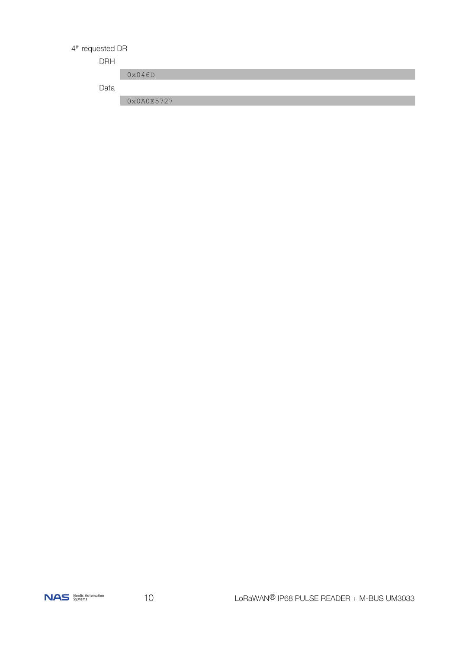## 4<sup>th</sup> requested DR

## DRH

Data

0x046D

0x0A0E5727

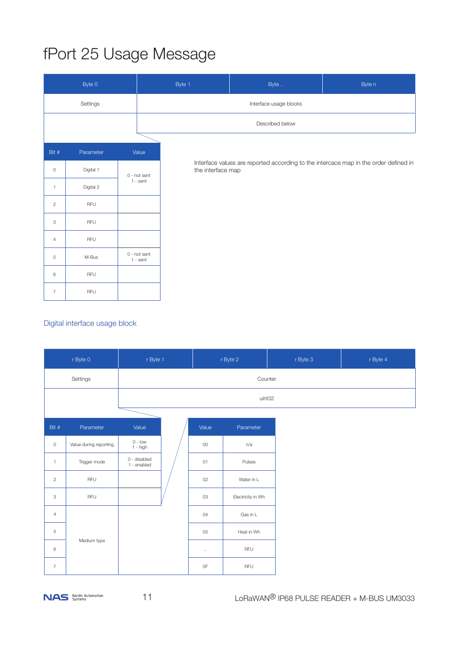# fPort 25 Usage Message

|                | Byte 0    |                            | Byte 1<br>Byte<br>Byte n |                                                                                                           |  |  |  |  |  |
|----------------|-----------|----------------------------|--------------------------|-----------------------------------------------------------------------------------------------------------|--|--|--|--|--|
|                | Settings  |                            |                          | Interface usage blocks                                                                                    |  |  |  |  |  |
|                |           |                            |                          | Described below                                                                                           |  |  |  |  |  |
|                |           |                            |                          |                                                                                                           |  |  |  |  |  |
| Bit #          | Parameter | Value                      |                          |                                                                                                           |  |  |  |  |  |
| $\,0\,$        | Digital 1 | 0 - not sent               |                          | Interface values are reported according to the intercace map in the order defined in<br>the interface map |  |  |  |  |  |
| $\mathbf{1}$   | Digital 2 | $1 - sent$                 |                          |                                                                                                           |  |  |  |  |  |
| $\overline{c}$ | RFU       |                            |                          |                                                                                                           |  |  |  |  |  |
| 3              | RFU       |                            |                          |                                                                                                           |  |  |  |  |  |
| $\overline{4}$ | RFU       |                            |                          |                                                                                                           |  |  |  |  |  |
| $\,$ 5 $\,$    | M-Bus     | 0 - not sent<br>$1 - sent$ |                          |                                                                                                           |  |  |  |  |  |
| 6              | RFU       |                            |                          |                                                                                                           |  |  |  |  |  |
| $\overline{7}$ | RFU       |                            |                          |                                                                                                           |  |  |  |  |  |

## Digital interface usage block

|                | r Byte 0<br>r Byte 1   |                             |  | r Byte 2       | r Byte 3          | r Byte 4 |  |
|----------------|------------------------|-----------------------------|--|----------------|-------------------|----------|--|
|                | Settings               |                             |  |                | Counter           |          |  |
|                |                        |                             |  |                | uint32            |          |  |
|                |                        |                             |  |                |                   |          |  |
| Bit $#$        | Parameter              | Value                       |  | Value          | Parameter         |          |  |
| $\circ$        | Value during reporting | $0 - low$<br>$1 - high$     |  | 00             | n/a               |          |  |
| $\mathbf{1}$   | Trigger mode           | 0 - disabled<br>1 - enabled |  | O <sub>1</sub> | Pulses            |          |  |
| $\overline{c}$ | RFU                    |                             |  | 02             | Water in L        |          |  |
| 3              | $\mathsf{RFU}$         |                             |  | 03             | Electricity in Wh |          |  |
| $\overline{4}$ |                        |                             |  | 04             | Gas in L          |          |  |
| 5              |                        |                             |  | 05             | Heat in Wh        |          |  |
| 6              | Medium type            |                             |  | $\ldots$       | RFU               |          |  |
| $\overline{7}$ |                        |                             |  | $0\mathsf{F}$  | RFU               |          |  |

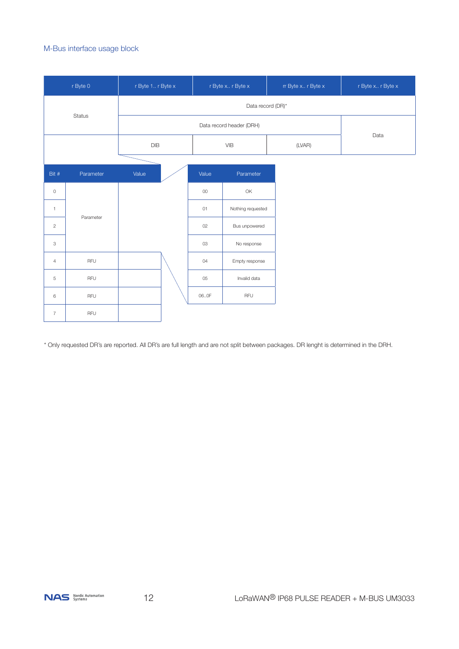#### M-Bus interface usage block

|                | r Byte 0      | r Byte 1 r Byte x |                | r Byte x r Byte x        | rr Byte x r Byte x | r Byte x r Byte x |  |  |
|----------------|---------------|-------------------|----------------|--------------------------|--------------------|-------------------|--|--|
|                |               | Data record (DR)* |                |                          |                    |                   |  |  |
|                | <b>Status</b> |                   |                | Data record header (DRH) |                    |                   |  |  |
|                |               | DIB               |                | <b>VIB</b>               | (LVAR)             | Data              |  |  |
|                |               |                   |                |                          |                    |                   |  |  |
| Bit #          | Parameter     | Value             | Value          | Parameter                |                    |                   |  |  |
| $\circ$        |               |                   | 00             | OK                       |                    |                   |  |  |
| $\mathbf{1}$   |               |                   | O <sub>1</sub> | Nothing requested        |                    |                   |  |  |
| $\overline{c}$ | Parameter     |                   | 02             | Bus unpowered            |                    |                   |  |  |
| 3              |               |                   | 03             | No response              |                    |                   |  |  |
| $\overline{4}$ | <b>RFU</b>    |                   | 04             | Empty response           |                    |                   |  |  |
| $\,$ 5 $\,$    | RFU           |                   | 05             | Invalid data             |                    |                   |  |  |
| 6              | RFU           |                   | 060F           | RFU                      |                    |                   |  |  |
| $\overline{7}$ | RFU           |                   |                |                          |                    |                   |  |  |

\* Only requested DR's are reported. All DR's are full length and are not split between packages. DR lenght is determined in the DRH.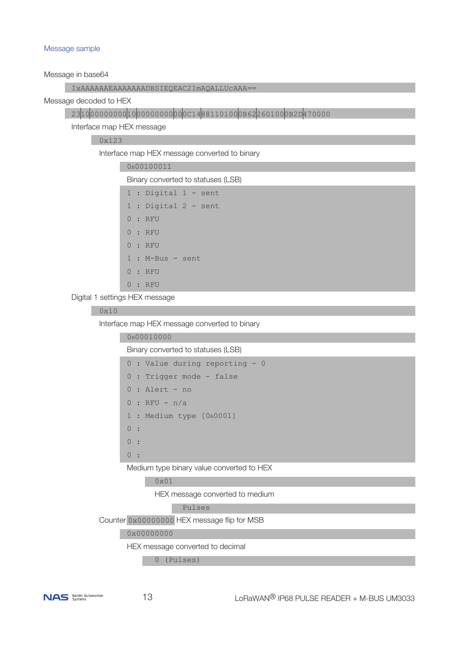#### Message sample

Message in base64

|--|

Message decoded to HEX

2310000000000100000000000000C14881101000B622601000B2D470000

Interface map HEX message

0x123

Interface map HEX message converted to binary

|          | OB00100011                         |
|----------|------------------------------------|
|          | Binary converted to statuses (LSB) |
|          | $1:$ Digital $1$ - sent            |
|          | $1:$ Digital 2 - sent              |
|          | 0:RFU                              |
|          | 0:RFU                              |
|          | 0:RFU                              |
|          | $1: M-Bus - sent$                  |
|          | 0:RFU                              |
| $\Omega$ | : RFU                              |
|          |                                    |

Digital 1 settings HEX message

### 0x10

Interface map HEX message converted to binary

| 0B00010000                         |
|------------------------------------|
| Binary converted to statuses (LSB) |
| 0 : Value during reporting - 0     |
| $0:$ Trigger mode - false          |
| $0:$ Alert - no                    |
| $0 :$ RFU - n/a                    |
| 1 : Medium type [0B0001]           |
| 0:                                 |
| $\Omega$<br>$\sim$ 1               |
|                                    |

Medium type binary value converted to HEX

```
 0x01
```
HEX message converted to medium

Pulses

Counter 0x00000000 HEX message flip for MSB

0x00000000

HEX message converted to decimal

0 (Pulses)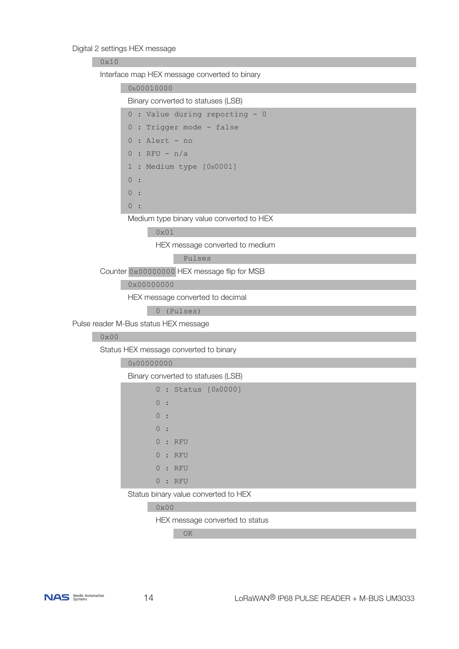#### Digital 2 settings HEX message

| 0x10          |                                               |  |  |  |  |  |  |  |
|---------------|-----------------------------------------------|--|--|--|--|--|--|--|
|               | Interface map HEX message converted to binary |  |  |  |  |  |  |  |
|               | 0B00010000                                    |  |  |  |  |  |  |  |
|               | Binary converted to statuses (LSB)            |  |  |  |  |  |  |  |
|               | 0 : Value during reporting - 0                |  |  |  |  |  |  |  |
|               | 0 : Trigger mode - false                      |  |  |  |  |  |  |  |
|               | $0:$ Alert - no                               |  |  |  |  |  |  |  |
|               | $0 : RFU - n/a$                               |  |  |  |  |  |  |  |
|               | 1 : Medium type [0B0001]                      |  |  |  |  |  |  |  |
|               | 0:                                            |  |  |  |  |  |  |  |
|               | $\circ$                                       |  |  |  |  |  |  |  |
|               | 0:                                            |  |  |  |  |  |  |  |
|               | Medium type binary value converted to HEX     |  |  |  |  |  |  |  |
|               | $0 \times 01$                                 |  |  |  |  |  |  |  |
|               | HEX message converted to medium               |  |  |  |  |  |  |  |
|               | Pulses                                        |  |  |  |  |  |  |  |
|               | Counter 0x00000000 HEX message flip for MSB   |  |  |  |  |  |  |  |
|               | 0x00000000                                    |  |  |  |  |  |  |  |
|               | HEX message converted to decimal              |  |  |  |  |  |  |  |
|               | 0 (Pulses)                                    |  |  |  |  |  |  |  |
|               | Pulse reader M-Bus status HEX message         |  |  |  |  |  |  |  |
| $0 \times 00$ |                                               |  |  |  |  |  |  |  |
|               | Status HEX message converted to binary        |  |  |  |  |  |  |  |
|               | 0B00000000                                    |  |  |  |  |  |  |  |
|               | Binary converted to statuses (LSB)            |  |  |  |  |  |  |  |
|               | : Status [0B0000]<br>$\circ$                  |  |  |  |  |  |  |  |
|               | 0                                             |  |  |  |  |  |  |  |
|               | 0                                             |  |  |  |  |  |  |  |
|               | 0                                             |  |  |  |  |  |  |  |
|               | : RFU<br>0                                    |  |  |  |  |  |  |  |
|               | : RFU<br>0                                    |  |  |  |  |  |  |  |
|               | : RFU<br>$\Omega$                             |  |  |  |  |  |  |  |
|               | : RFU<br>0                                    |  |  |  |  |  |  |  |
|               | Status binary value converted to HEX          |  |  |  |  |  |  |  |
|               | $0 \times 00$                                 |  |  |  |  |  |  |  |

HEX message converted to status

<u>No oko se za ostala za oko se oko se oko se oko se oko se oko se oko se oko se oko se oko se oko se oko se oko </u>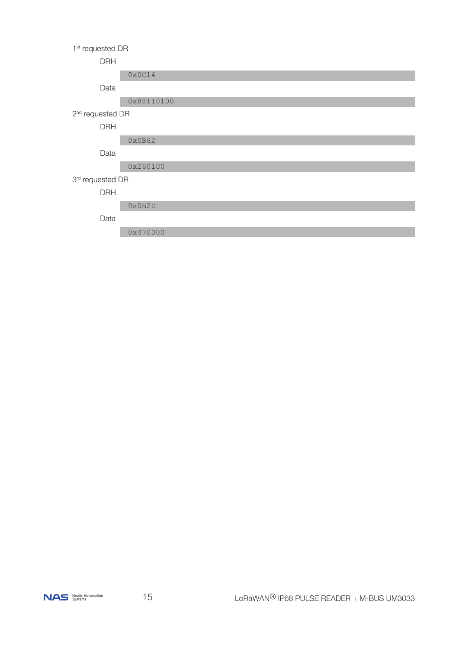#### 1<sup>st</sup> requested DR

#### DRH

0x0C14

Data

0x88110100

#### 2<sup>nd</sup> requested DR

DRH

0x0B62

Data

0x260100

## 3rd requested DR

DRH

0x0B2D

Data

0x470000

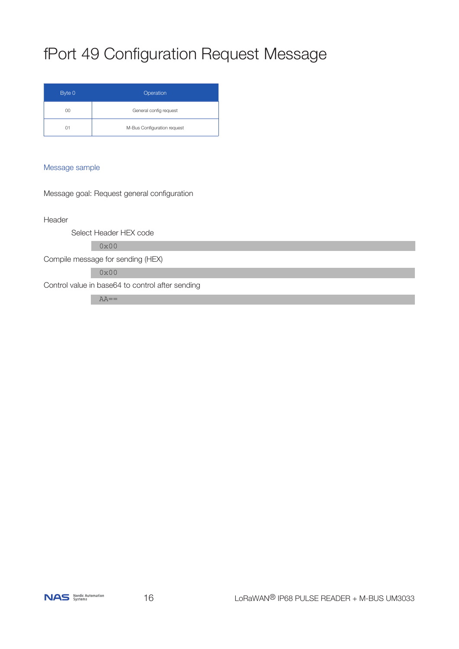# fPort 49 Configuration Request Message

| Byte 0 | Operation                   |
|--------|-----------------------------|
| 00     | General config request      |
| 01     | M-Bus Configuration request |

#### Message sample

Message goal: Request general configuration

Header

Select Header HEX code

0x00

Compile message for sending (HEX)

0x00

Control value in base64 to control after sending

 $AA ==$ 

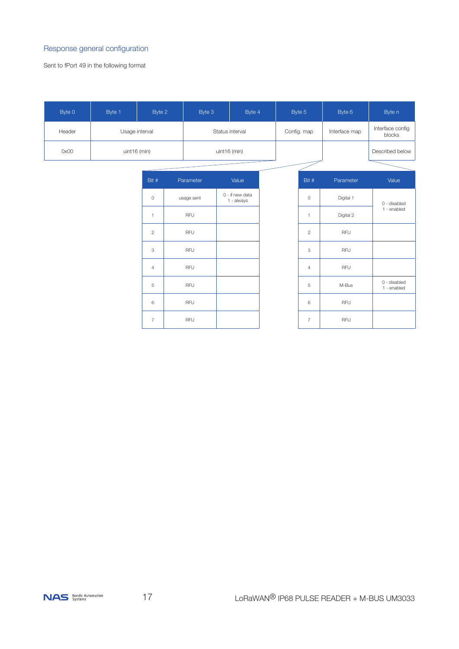#### Response general configuration

Sent to fPort 49 in the following format

| Byte 0 | Byte 1         | Byte 2         |  | Byte 3       |                 | Byte 4                        |             |  | Byte 5         | Byte 6                     | Byte n                      |
|--------|----------------|----------------|--|--------------|-----------------|-------------------------------|-------------|--|----------------|----------------------------|-----------------------------|
| Header | Usage interval |                |  |              | Status interval |                               | Config. map |  | Interface map  | Interface config<br>blocks |                             |
| 0x00   | uint16 (min)   |                |  | uint16 (min) |                 |                               |             |  |                | Described below            |                             |
|        |                |                |  |              |                 |                               |             |  |                |                            |                             |
|        |                | Bit #          |  | Parameter    |                 | Value                         |             |  | Bit #          | Parameter                  | Value                       |
|        |                | $\circ$        |  | usage sent   |                 | 0 - if new data<br>1 - always |             |  | $\circ$        | Digital 1                  | 0 - disabled                |
|        |                | $\mathbf{1}$   |  | RFU          |                 |                               |             |  | $\overline{1}$ | Digital 2                  | 1 - enabled                 |
|        |                | $\mathbf{2}$   |  | RFU          |                 |                               |             |  | $\overline{c}$ | <b>RFU</b>                 |                             |
|        |                | 3              |  | RFU          |                 |                               |             |  | 3              | <b>RFU</b>                 |                             |
|        |                | $\overline{4}$ |  | RFU          |                 |                               |             |  | $\overline{4}$ | RFU                        |                             |
|        |                | 5              |  | RFU          |                 |                               |             |  | $\sqrt{5}$     | M-Bus                      | 0 - disabled<br>1 - enabled |
|        |                | 6              |  | RFU          |                 |                               |             |  | 6              | <b>RFU</b>                 |                             |
|        |                | $\overline{7}$ |  | RFU          |                 |                               |             |  | $\overline{7}$ | RFU                        |                             |

NAS Nordic Automation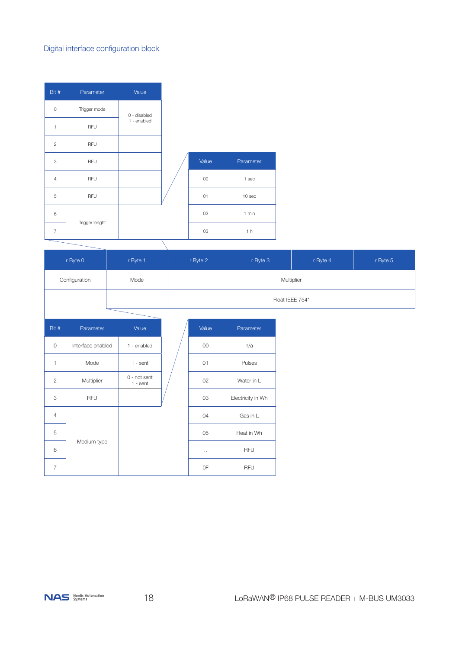## Digital interface configuration block

| Trigger mode<br>0<br>0 - disabled<br>1 - enabled<br>$\mathbf{1}$<br>RFU<br>RFU<br>$\overline{c}$<br>3<br>RFU<br>RFU<br>$\overline{4}$<br>RFU<br>5<br>6 | Bit # | Parameter      | Value |  |
|--------------------------------------------------------------------------------------------------------------------------------------------------------|-------|----------------|-------|--|
|                                                                                                                                                        |       |                |       |  |
|                                                                                                                                                        |       |                |       |  |
|                                                                                                                                                        |       |                |       |  |
|                                                                                                                                                        |       |                |       |  |
|                                                                                                                                                        |       |                |       |  |
|                                                                                                                                                        |       |                |       |  |
|                                                                                                                                                        |       |                |       |  |
| $\overline{7}$                                                                                                                                         |       | Trigger lenght |       |  |

| Value | Parameter      |
|-------|----------------|
| 00    | 1 sec          |
| 01    | 10 sec         |
| 02    | 1 min          |
| 03    | 1 <sub>h</sub> |

| r Byte 0      | r Byte 1 | r Byte 2 | r Byte 3 | r Byte 4        | r Byte 5 |
|---------------|----------|----------|----------|-----------------|----------|
| Configuration | Mode     |          |          | Multiplier      |          |
|               |          |          |          | Float IEEE 754* |          |
|               |          |          |          |                 |          |

| Bit #          | Parameter         | Value                        | Value     | Parameter         |
|----------------|-------------------|------------------------------|-----------|-------------------|
| $\circ$        | Interface enabled | 1 - enabled                  | 00        | n/a               |
| 1              | Mode              | $1 - sent$                   | 01        | Pulses            |
| $\overline{2}$ | Multiplier        | $0$ - not sent<br>$1 - sent$ | 02        | Water in L        |
| 3              | <b>RFU</b>        |                              | 03        | Electricity in Wh |
| $\overline{4}$ |                   |                              | 04        | Gas in L          |
| 5              |                   |                              | 05        | Heat in Wh        |
| 6              | Medium type       |                              | $\ddotsc$ | <b>RFU</b>        |
| $\overline{7}$ |                   |                              | 0F        | <b>RFU</b>        |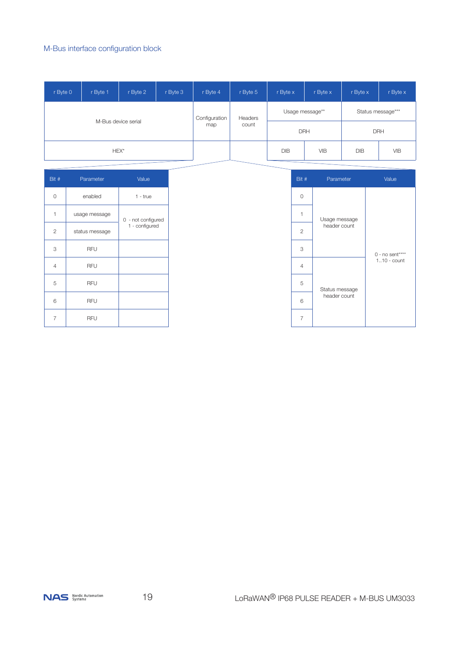## M-Bus interface configuration block

| r Byte 0 | r Byte 1 | r Byte 2            | r Byte 3 | r Byte 4      | r Byte 5 | r Byte x   | r Byte x        | r Byte x | r Byte x          |
|----------|----------|---------------------|----------|---------------|----------|------------|-----------------|----------|-------------------|
|          |          |                     |          | Configuration | Headers  |            | Usage message** |          | Status message*** |
|          |          | M-Bus device serial |          | map           | count    |            | <b>DRH</b>      |          | <b>DRH</b>        |
|          | HEX*     |                     |          |               |          | <b>DIB</b> | <b>VIB</b>      | DIB      | <b>VIB</b>        |

| Bit #          | Parameter      | Value              |  |
|----------------|----------------|--------------------|--|
| $\Omega$       | enabled        | $1 - true$         |  |
| 1              | usage message  | 0 - not configured |  |
| $\overline{2}$ | status message | 1 - configured     |  |
| 3              | <b>RFU</b>     |                    |  |
| $\overline{4}$ | <b>RFU</b>     |                    |  |
| 5              | <b>RFU</b>     |                    |  |
| 6              | <b>RFU</b>     |                    |  |
| 7              | RFU            |                    |  |

| Bit #          | Parameter                           | Value            |
|----------------|-------------------------------------|------------------|
| 0              |                                     |                  |
| 1              | Usage message                       |                  |
| $\overline{2}$ | header count                        |                  |
| 3              |                                     | $0 - no sent***$ |
| 4              |                                     | $110$ - count    |
| 5              | Status message<br>header count<br>6 |                  |
|                |                                     |                  |
| 7              |                                     |                  |

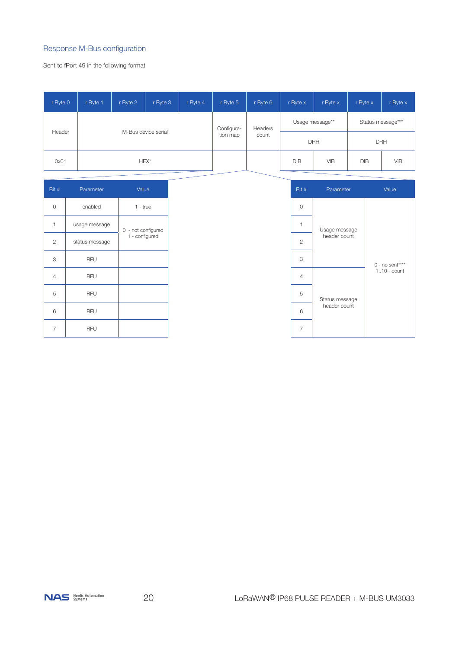#### Response M-Bus configuration

Sent to fPort 49 in the following format

| r Byte 0                      | r Byte 1 | r Byte 2   | r Byte 3         | r Byte 4        | r Byte 5   | r Byte 6          | r Byte x   | r Byte x   | r Byte x   | r Byte x   |
|-------------------------------|----------|------------|------------------|-----------------|------------|-------------------|------------|------------|------------|------------|
| M-Bus device serial<br>Header |          | Configura- | Headers<br>count | Usage message** |            | Status message*** |            |            |            |            |
|                               |          | tion map   |                  |                 | <b>DRH</b> |                   | <b>DRH</b> |            |            |            |
| 0x01                          |          |            | HEX*             |                 |            |                   | DIB        | <b>VIB</b> | <b>DIB</b> | <b>VIB</b> |

| Bit #          | Parameter      | Value                                |  |
|----------------|----------------|--------------------------------------|--|
| 0              | enabled        | $1 - true$                           |  |
| 1              | usage message  | 0 - not configured<br>1 - configured |  |
| $\overline{2}$ | status message |                                      |  |
| 3              | RFU            |                                      |  |
| 4              | <b>RFU</b>     |                                      |  |
| 5              | <b>RFU</b>     |                                      |  |
| 6              | <b>RFU</b>     |                                      |  |
| 7              | RFU            |                                      |  |

| Bit # | Parameter                           | Value            |
|-------|-------------------------------------|------------------|
| 0     |                                     |                  |
| 1     | Usage message<br>header count       |                  |
| 2     |                                     |                  |
| 3     |                                     | $0 - no sent***$ |
| 4     |                                     | $110$ - count    |
| 5     | Status message<br>header count<br>6 |                  |
|       |                                     |                  |
| 7     |                                     |                  |

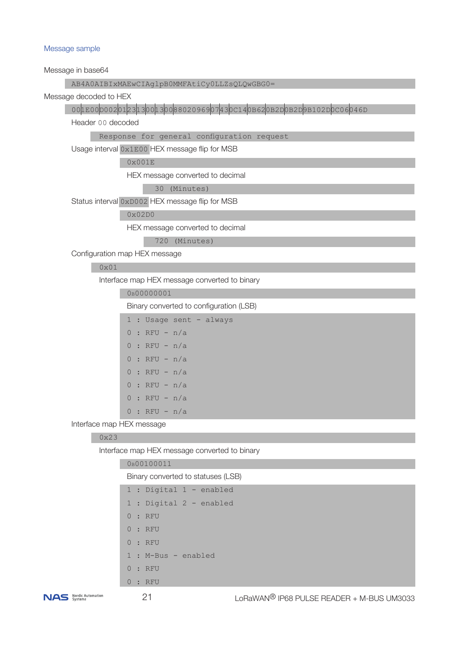#### Message sample

Message in base64

#### AB4A0AIBIxMAEwCIAglpB0MMFAtiCy0LLZsQLQwGBG0=

Message decoded to HEX

## 001E00D0020123130013008802096907430C140B620B2D0B2D9B102D0C06046D

Header 00 decoded

Response for general configuration request

Usage interval 0x1E00 HEX message flip for MSB

0x001E

HEX message converted to decimal

30 (Minutes)

Status interval 0xD002 HEX message flip for MSB

#### 0x02D0

HEX message converted to decimal

720 (Minutes)

Configuration map HEX message

#### 0x01

Interface map HEX message converted to binary

0b00000001

Binary converted to configuration (LSB)

```
1 : Usage sent - always
```
- 0 : RFU n/a  $0 : RFU - n/a$ 0 : RFU - n/a
- $0 : RFU n/a$
- 
- $0 : RFU n/a$
- $0 : RFU n/a$
- $0 : RFU n/a$

Interface map HEX message

#### 0x23

Interface map HEX message converted to binary

| 0B00100011                         |
|------------------------------------|
| Binary converted to statuses (LSB) |
| 1 : Digital 1 - enabled            |
| 1 : Digital 2 - enabled            |
| 0:RFU                              |
| 0:RFU                              |
| 0:RFU                              |
| 1 : M-Bus - enabled                |
| 0:RFU                              |
| 0:RFU                              |
|                                    |

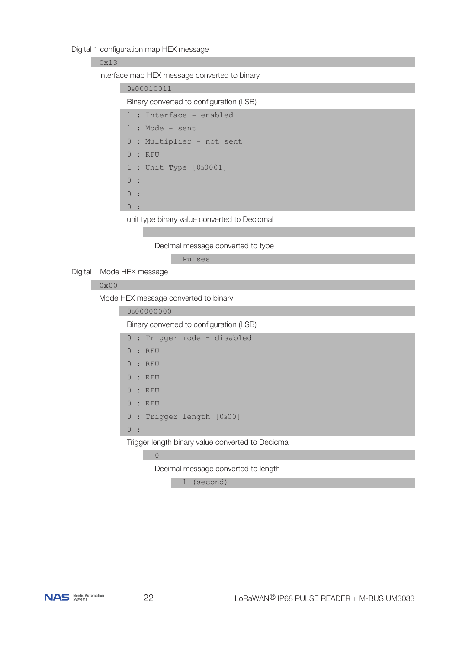Digital 1 configuration map HEX message

#### 0x13

Interface map HEX message converted to binary

|    |                      | 0B00010011                            |
|----|----------------------|---------------------------------------|
|    |                      | Binary converted to configuration (LS |
|    |                      | 1 : Interface - enabled               |
|    |                      | $1: Mode - sent$                      |
|    |                      | 0 : Multiplier - not sent             |
|    |                      | 0:RFU                                 |
|    |                      | 1 : Unit Type $[0B0001]$              |
| 0: |                      |                                       |
| 0: |                      |                                       |
|    | $\ddot{\phantom{a}}$ |                                       |
|    |                      |                                       |

unit type binary value converted to Decicmal

1

Decimal message converted to type

 $(LSB)$ 

Pulses

Digital 1 Mode HEX message

## 0x00

Mode HEX message converted to binary

0b00000000

Binary converted to configuration (LSB)

0 : Trigger mode - disabled

|  |  |  | 0:RFU |  |
|--|--|--|-------|--|
|--|--|--|-------|--|

- 0 : RFU
- 0 : RFU

0 : RFU

0 : RFU

0 : Trigger length [OB00]

0 :

Trigger length binary value converted to Decicmal

## <u></u>

Decimal message converted to length

1 (second)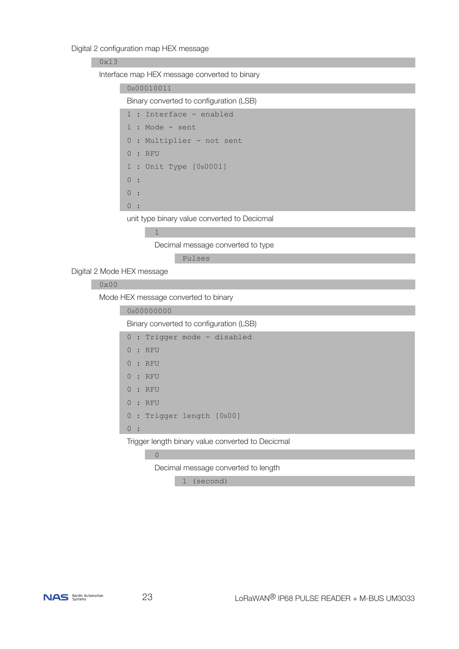#### Digital 2 configuration map HEX message

#### 0x13

Interface map HEX message converted to binary

| 0 <sub>B</sub> 00010011                 |
|-----------------------------------------|
| Binary converted to configuration (LSB) |
| 1 : Interface - enabled                 |
| $1:$ Mode - sent                        |
| 0 : Multiplier - not sent               |
| 0:RFU                                   |
| 1 : Unit Type [0B0001]                  |
| 0:                                      |
| 0:                                      |
|                                         |
|                                         |

unit type binary value converted to Decicmal

 $\frac{1}{1}$ 

Decimal message converted to type

Pulses

Digital 2 Mode HEX message

## 0x00

Mode HEX message converted to binary

```
0b00000000
Binary converted to configuration (LSB)
0 : Trigger mode - disabled
 0 : RFU
 0 : RFU
 0 : RFU
 0 : RFU
 0 : RFU
0 : Trigger length [OBOO]
 0 :
```
Trigger length binary value converted to Decicmal

<u>0</u>

Decimal message converted to length

1 (second)

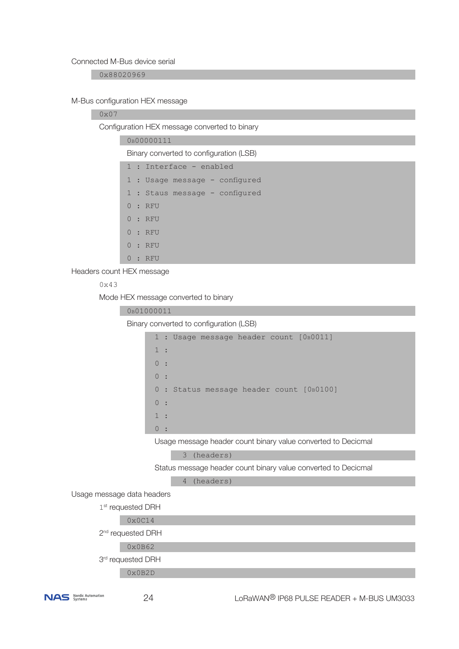#### Connected M-Bus device serial

0x88020969

#### M-Bus configuration HEX message

#### 0x07

Configuration HEX message converted to binary

| 0 <sub>B</sub> 00000111 |
|-------------------------|
|                         |

Binary converted to configuration (LSB)

1 : Usage message - configured

- 1 : Staus message configured
- 0 : RFU
- 0 : RFU
- 0 : RFU
- 0 : RFU
- 0 : RFU

Headers count HEX message

### 0x43

Mode HEX message converted to binary

| 0B01000011                                                     |
|----------------------------------------------------------------|
| Binary converted to configuration (LSB)                        |
| 1 : Usage message header count [0B0011]                        |
| 1:                                                             |
| 0:                                                             |
| 0:                                                             |
| : Status message header count [OB0100]<br>$\circ$              |
| 0:                                                             |
| 1:                                                             |
| 0:                                                             |
| Usage message header count binary value converted to Decicmal  |
| 3 (headers)                                                    |
| Status message header count binary value converted to Decicmal |
| (headers)<br>$\overline{4}$                                    |
| Usage message data headers                                     |
| 1 <sup>st</sup> requested DRH                                  |
| $0 \times 0 014$                                               |
| 2 <sup>nd</sup> requested DRH                                  |
| 0x0B62                                                         |
| 3rd requested DRH                                              |
| 0x0B2D                                                         |
|                                                                |

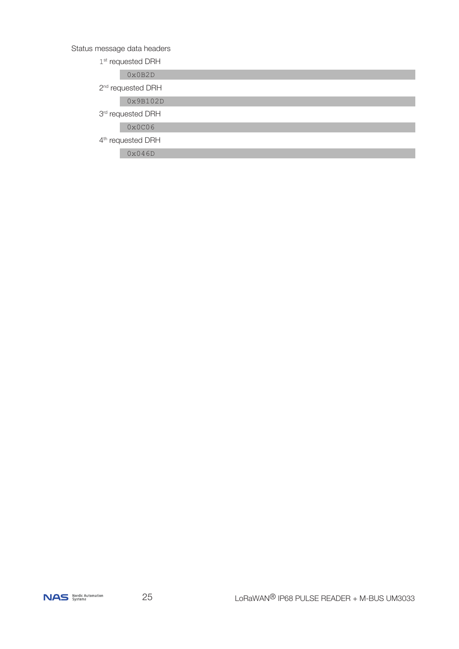## Status message data headers

1<sup>st</sup> requested DRH

0x0B2D

2<sup>nd</sup> requested DRH

0x9B102D

3<sup>rd</sup> requested DRH

0x0C06

4<sup>th</sup> requested DRH

0x046D

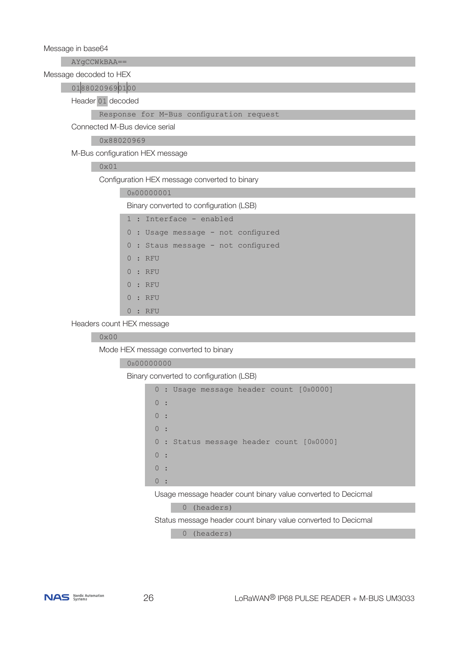Message in base64

AYgCCWkBAA==

Message decoded to HEX

01880209690100

Header 01 decoded

#### Response for M-Bus configuration request

Connected M-Bus device serial

0x88020969

M-Bus configuration HEX message

## 0x01

Configuration HEX message converted to binary

0b00000001

Binary converted to configuration (LSB)

| 1 : Interface - enabled            |
|------------------------------------|
| 0 : Usage message - not configured |
| 0 : Staus message - not configured |
| 0:RFU                              |
| 0:RFU                              |
| 0:RFU                              |
| 0:RFU                              |
| 0:RFU                              |
|                                    |

Headers count HEX message

#### 0x00

Mode HEX message converted to binary

#### 0b00000000

Binary converted to configuration (LSB)

```
0 : Usage message header count [0b0000]
\begin{array}{ccc} & & 0 & \cdot \\ & & & \cdot \end{array}\begin{array}{ccc} & & 0 & \vdots \\ & & & \end{array}\begin{array}{ccc} & & 0 & \cdots \\ & & & \end{array}0 : Status message header count [0b0000]
\begin{array}{ccc} & & 0 & \vdots \\ & & & \end{array}\begin{array}{ccc} & & 0 & \cdots \\ & & & \end{array}\begin{array}{ccc} & & 0 & \cdots \\ & & & \end{array}
```
Usage message header count binary value converted to Decicmal

0 (headers)

Status message header count binary value converted to Decicmal

0 (headers)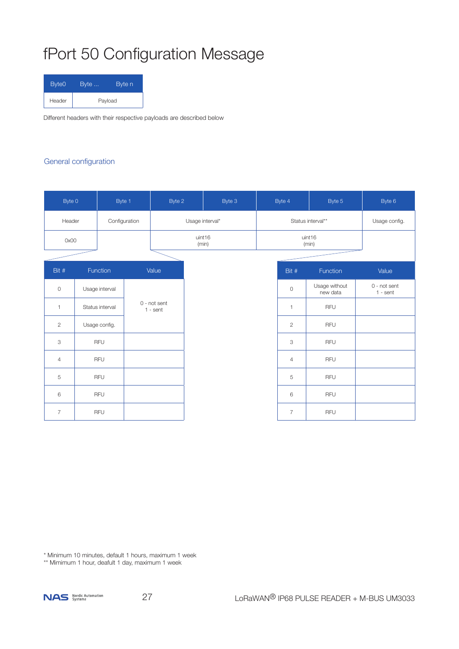# fPort 50 Configuration Message

| Byte <sub>0</sub> | Byte | Byte n  |
|-------------------|------|---------|
| Header            |      | Payload |

Different headers with their respective payloads are described below

#### General configuration

| Byte 0         | Byte 1          |  | Byte 2                     |                 | Byte 3 | Byte 4 |                   | Byte 5                    | Byte 6                     |
|----------------|-----------------|--|----------------------------|-----------------|--------|--------|-------------------|---------------------------|----------------------------|
| Header         | Configuration   |  |                            | Usage interval* |        |        | Status interval** |                           | Usage config.              |
| 0x00           |                 |  |                            | uint16<br>(min) |        |        | uint16<br>(min)   |                           |                            |
|                |                 |  |                            |                 |        |        |                   |                           |                            |
| Bit #          | Function        |  | Value                      |                 |        |        | Bit #             | Function                  | Value                      |
| $\mathbf 0$    | Usage interval  |  |                            |                 |        |        | $\mathbf 0$       | Usage without<br>new data | 0 - not sent<br>$1 - sent$ |
| $\mathbf{1}$   | Status interval |  | 0 - not sent<br>$1 - sent$ |                 |        |        | $\mathbf{1}$      | <b>RFU</b>                |                            |
| $\overline{2}$ | Usage config.   |  |                            |                 |        |        | $\overline{2}$    | <b>RFU</b>                |                            |
| 3              | <b>RFU</b>      |  |                            |                 |        |        | 3                 | <b>RFU</b>                |                            |
| $\overline{4}$ | <b>RFU</b>      |  |                            |                 |        |        | $\overline{4}$    | <b>RFU</b>                |                            |
| 5              | <b>RFU</b>      |  |                            |                 |        |        | 5                 | <b>RFU</b>                |                            |
| 6              | <b>RFU</b>      |  |                            |                 |        |        | 6                 | <b>RFU</b>                |                            |
| $\overline{7}$ | <b>RFU</b>      |  |                            |                 |        |        | $\overline{7}$    | <b>RFU</b>                |                            |

\* Minimum 10 minutes, default 1 hours, maximum 1 week

\*\* Mimimum 1 hour, deafult 1 day, maximum 1 week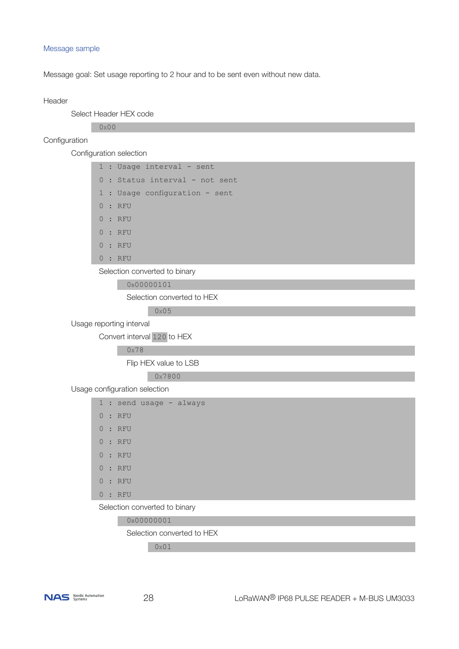#### Message sample

Message goal: Set usage reporting to 2 hour and to be sent even without new data.

#### Header

Select Header HEX code

0x00

#### Configuration

Configuration selection

1 : Usage interval - sent 0 : Status interval - not sent 1 : Usage configuration - sent 0 : RFU  $0 : RFI$  0 : RFU 0 : RFU 0 : RFU

Selection converted to binary

0b00000101

Selection converted to HEX

0x05

Usage reporting interval

Convert interval 120 to HEX

0x78

Flip HEX value to LSB

0x7800

Usage configuration selection

|                      | 1 : send usage - always |
|----------------------|-------------------------|
|                      | 0:RFU                   |
|                      | 0:RFU                   |
|                      | 0:RFU                   |
|                      | 0:RFU                   |
|                      | 0:RFU                   |
|                      | 0:RFU                   |
|                      | 0:RFU                   |
| $\sim$ $\sim$ $\sim$ | .                       |

Selection converted to binary

0b00000001

Selection converted to HEX

0x01

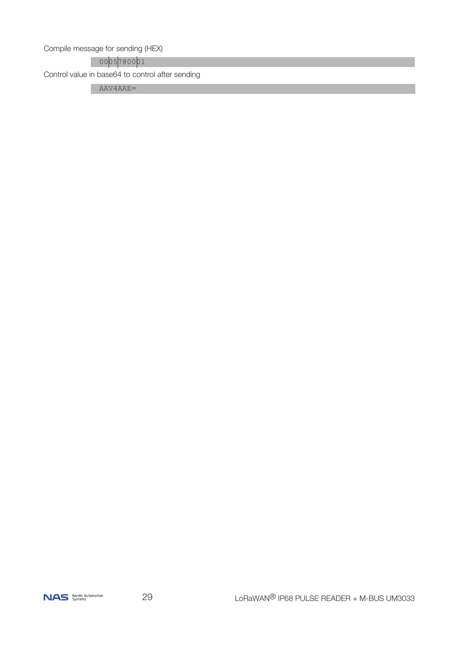Compile message for sending (HEX)

0005780001

Control value in base64 to control after sending

AAV4AAE=

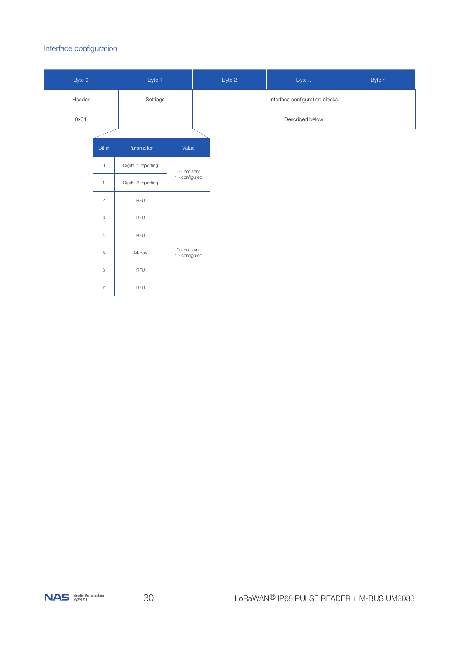#### Interface configuration

| Byte 0 | Byte 1   | Byte 2                         | Byte n |  |  |  |
|--------|----------|--------------------------------|--------|--|--|--|
| Header | Settings | Interface configuration blocks |        |  |  |  |
| 0x01   |          | Described below                |        |  |  |  |
|        |          |                                |        |  |  |  |

| Bit #          | Parameter           | Value                          |
|----------------|---------------------|--------------------------------|
| 0              | Digital 1 reporting | 0 - not sent                   |
| 1              | Digital 2 reporting | 1 - configured                 |
| $\overline{c}$ | RFU                 |                                |
| 3              | RFU                 |                                |
| $\overline{4}$ | RFU                 |                                |
| 5              | M-Bus               | 0 - not sent<br>1 - configured |
| 6              | RFU                 |                                |
| 7              | RFU                 |                                |

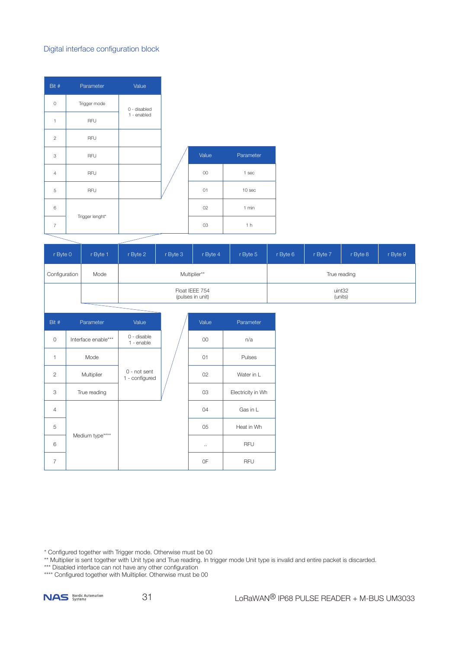### Digital interface configuration block

| Bit #          | Parameter       | Value        |                |                  |
|----------------|-----------------|--------------|----------------|------------------|
| $\circ$        | Trigger mode    | 0 - disabled |                |                  |
| 1              | RFU             | 1 - enabled  |                |                  |
| $\mathbf{2}$   | RFU             |              |                |                  |
| 3              | RFU             |              | Value          | Parameter        |
| $\overline{4}$ | RFU             |              | $00\,$         | 1 <sub>sec</sub> |
| 5              | RFU             |              | O <sub>1</sub> | 10 sec           |
| 6              |                 |              | 02             | 1 min            |
| $\overline{7}$ | Trigger lenght* |              | 03             | 1 <sub>h</sub>   |

| r Byte 0      | r Byte 1 | r Byte 2 | r Byte 3       | r Byte 4         | r Byte 5 | r Byte 6          | r Byte 7 | r Byte 8 | r Byte 9 |  |
|---------------|----------|----------|----------------|------------------|----------|-------------------|----------|----------|----------|--|
| Configuration | Mode     |          | Multiplier**   |                  |          | True reading      |          |          |          |  |
|               |          |          | Float IEEE 754 | (pulses in unit) |          | uint32<br>(units) |          |          |          |  |

| Bit #          | Parameter           | Value                            | Value    | Parameter         |
|----------------|---------------------|----------------------------------|----------|-------------------|
| $\circ$        | Interface enable*** | 0 - disable<br>$1 -$ enable      | 00       | n/a               |
| 1              | Mode                |                                  | 01       | Pulses            |
| $\overline{2}$ | Multiplier          | $0$ - not sent<br>1 - configured | 02       | Water in L        |
| 3              | True reading        |                                  | 03       | Electricity in Wh |
| $\overline{4}$ |                     |                                  | 04       | Gas in L          |
| 5              |                     |                                  | 05       | Heat in Wh        |
| 6              | Medium type****     |                                  | $\ldots$ | <b>RFU</b>        |
| $\overline{7}$ |                     |                                  | 0F       | <b>RFU</b>        |

\* Configured together with Trigger mode. Otherwise must be 00

\*\* Multiplier is sent together with Unit type and True reading. In trigger mode Unit type is invalid and entire packet is discarded.

\*\*\* Disabled interface can not have any other configuration

\*\*\*\* Configured together with Muiltiplier. Otherwise must be 00

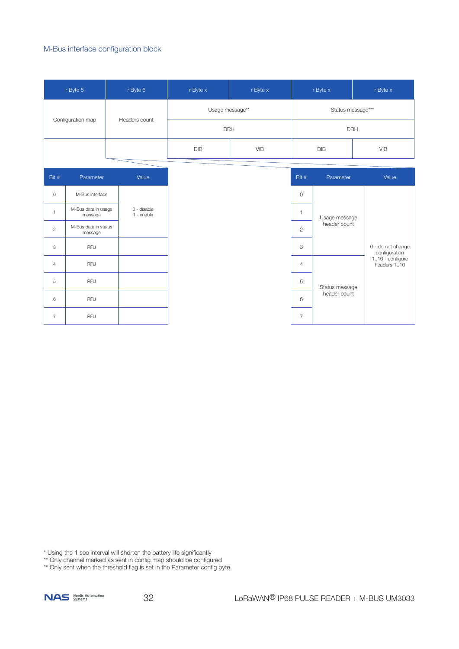#### M-Bus interface configuration block

|                | r Byte 5                        |  | r Byte 6                  | r Byte x                 | r Byte x          | r Byte x       |                | r Byte x                           |
|----------------|---------------------------------|--|---------------------------|--------------------------|-------------------|----------------|----------------|------------------------------------|
|                |                                 |  |                           | Usage message**          | Status message*** |                |                |                                    |
|                | Configuration map               |  | Headers count             |                          | <b>DRH</b>        |                | <b>DRH</b>     |                                    |
|                |                                 |  |                           | <b>DIB</b><br><b>VIB</b> |                   |                | <b>DIB</b>     | <b>VIB</b>                         |
|                |                                 |  |                           |                          |                   |                |                |                                    |
| Bit #          | Parameter                       |  | Value                     |                          |                   | Bit #          | Parameter      | Value                              |
| $\circ$        | M-Bus interface                 |  |                           |                          |                   | $\circ$        |                |                                    |
| $\mathbf{1}$   | M-Bus data in usage<br>message  |  | 0 - disable<br>1 - enable |                          |                   | $\mathbf{1}$   | Usage message  |                                    |
| $\sqrt{2}$     | M-Bus data in status<br>message |  |                           |                          |                   | $\overline{c}$ | header count   |                                    |
| 3              | <b>RFU</b>                      |  |                           |                          |                   | 3              |                | 0 - do not change<br>configuration |
| $\overline{4}$ | <b>RFU</b>                      |  |                           |                          |                   | $\overline{4}$ |                | 110 - configure<br>headers 110     |
| 5              | RFU                             |  |                           |                          |                   | 5              | Status message |                                    |
| 6              | <b>RFU</b>                      |  |                           |                          |                   | 6              | header count   |                                    |
| $\overline{7}$ | <b>RFU</b>                      |  |                           |                          |                   | $\overline{7}$ |                |                                    |

\* Using the 1 sec interval will shorten the battery life significantly

\*\* Only channel marked as sent in config map should be configured

\*\* Only sent when the threshold flag is set in the Parameter config byte.

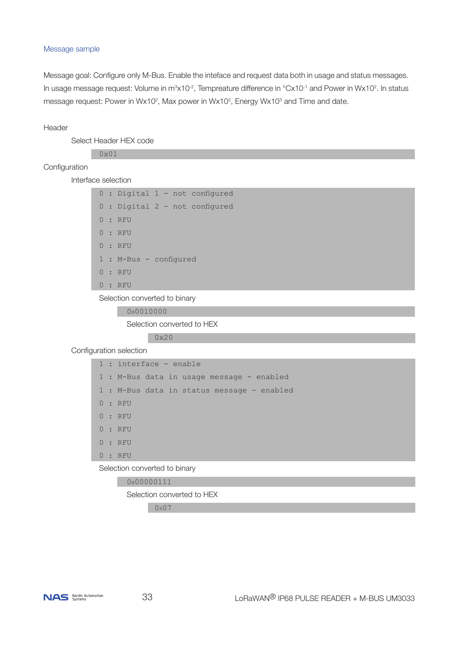#### Message sample

Message goal: Configure only M-Bus. Enable the inteface and request data both in usage and status messages. In usage message request: Volume in m $3\times10^{-2}$ , Tempreature difference in  $^{\circ}$ Cx10<sup>-1</sup> and Power in Wx10<sup>2</sup>. In status message request: Power in Wx10<sup>2</sup>, Max power in Wx10<sup>2</sup>, Energy Wx10<sup>3</sup> and Time and date.

#### Header

Select Header HEX code

 $0 \times 01$ 

#### Configuration

Interface selection

|  |                        |  | 0 : Digital 1 - not configured |
|--|------------------------|--|--------------------------------|
|  |                        |  | 0 : Digital 2 - not configured |
|  | 0:RFU                  |  |                                |
|  | 0:RFU                  |  |                                |
|  | 0:RFU                  |  |                                |
|  | 1 : M-Bus - configured |  |                                |
|  | $0$ : RFU              |  |                                |
|  | 0:RFU                  |  |                                |

Selection converted to binary

0b0010000

Selection converted to HEX

0x20

Configuration selection

| $1:$ interface - enable                    |
|--------------------------------------------|
| 1 : M-Bus data in usage message - enabled  |
| 1 : M-Bus data in status message - enabled |
| 0:RFU                                      |
| 0:RFU                                      |
| 0:RFU                                      |
| 0:RFU                                      |
| 0:RFU                                      |

Selection converted to binary

 0b00000111 Selection converted to HEX

0x07

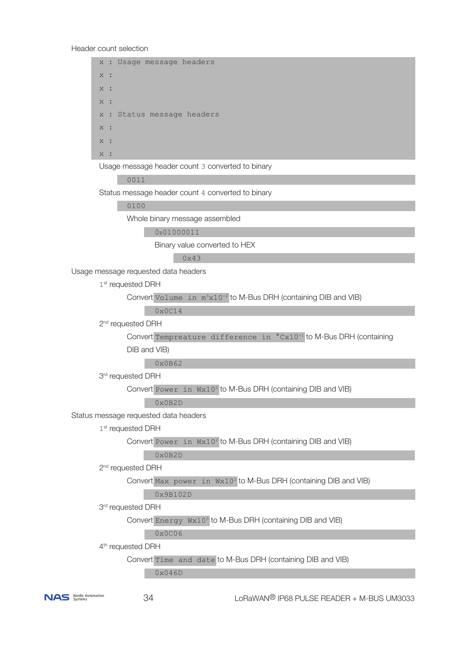Header count selection

 x : Usage message headers x : x : x : x : Status message headers x :  $\overline{x}$  :  $x :$  Usage message header count 3 converted to binary 0011

Status message header count 4 converted to binary

0100

Whole binary message assembled

0b01000011

Binary value converted to HEX

 $0 \times 43$ 

Usage message requested data headers

1<sup>st</sup> requested DRH

Convert Volume in  $m^3x10^{-2}$  to M-Bus DRH (containing DIB and VIB)

0x0C14

2<sup>nd</sup> requested DRH

Convert Tempreature difference in °Cx10<sup>-1</sup> to M-Bus DRH (containing DIB and VIB)

0x0B62

3<sup>rd</sup> requested DRH

Convert Power in Wx10<sup>2</sup> to M-Bus DRH (containing DIB and VIB)

0x0B2D

Status message requested data headers

1st requested DRH

Convert Power in Wx10<sup>2</sup> to M-Bus DRH (containing DIB and VIB)

 $0 \times 0$ B<sub>2</sub>D

2<sup>nd</sup> requested DRH

Convert Max power in Wx10<sup>2</sup> to M-Bus DRH (containing DIB and VIB)

0x9B102D

3rd requested DRH

Convert Energy Wx10<sup>3</sup> to M-Bus DRH (containing DIB and VIB)

0x0C06

4<sup>th</sup> requested DRH

Convert Time and date to M-Bus DRH (containing DIB and VIB)

0x046D

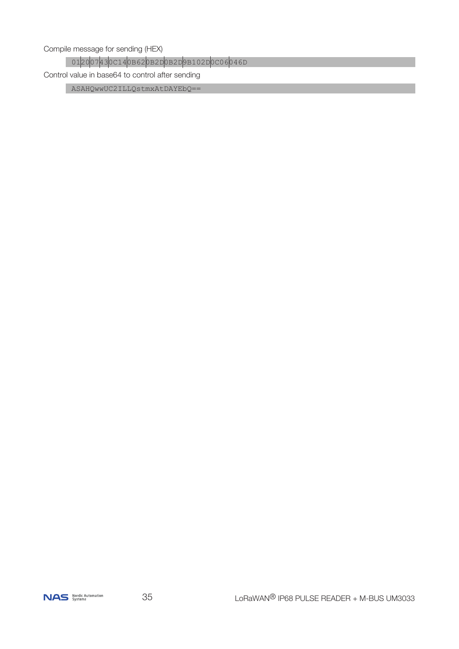Compile message for sending (HEX)

012007430C140B620B2D0B2D9B102D0C06046D

Control value in base64 to control after sending

ASAHQwwUC2ILLQstmxAtDAYEbQ ==

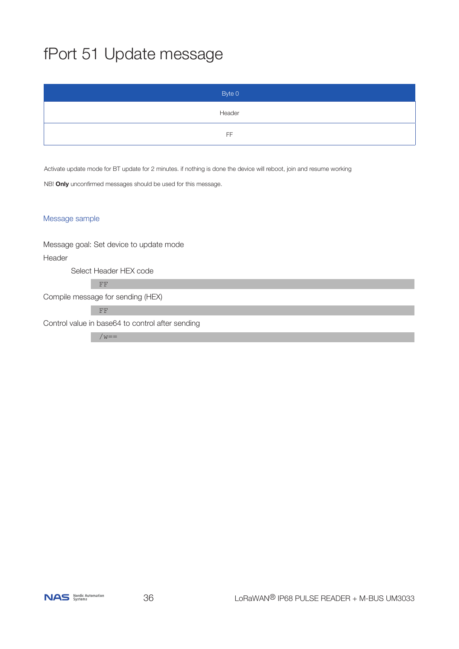# fPort 51 Update message

| Byte 0 |
|--------|
| Header |
| FF     |

Activate update mode for BT update for 2 minutes. if nothing is done the device will reboot, join and resume working

NB! **Only** unconfirmed messages should be used for this message.

#### Message sample

Message goal: Set device to update mode Header Select Header HEX code FF Compile message for sending (HEX) FF Control value in base64 to control after sending

 $/w ==$ 

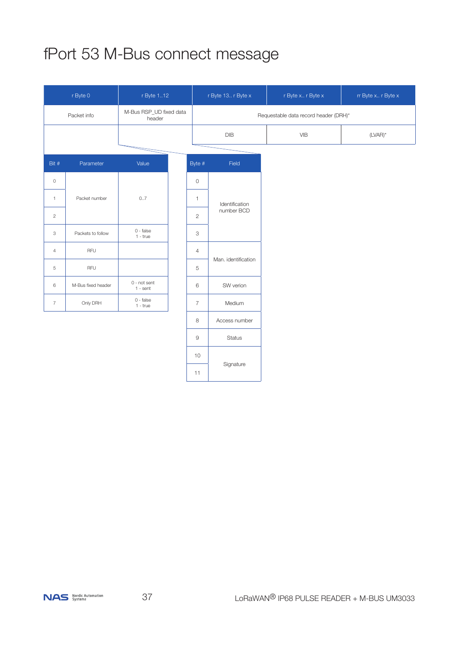# fPort 53 M-Bus connect message

| r Byte 0<br>r Byte 112                           |                    | r Byte 13 r Byte x         |                           | r Byte x r Byte x                     | rr Byte x r Byte x |            |
|--------------------------------------------------|--------------------|----------------------------|---------------------------|---------------------------------------|--------------------|------------|
| M-Bus RSP_UD fixed data<br>Packet info<br>header |                    |                            |                           | Requestable data record header (DRH)* |                    |            |
|                                                  |                    |                            |                           | DIB                                   | <b>VIB</b>         | $(LVAR)^*$ |
|                                                  |                    |                            |                           |                                       |                    |            |
| Bit #                                            | Parameter          | Value                      | Byte #                    | Field                                 |                    |            |
| $\circ$                                          |                    |                            | $\circ$                   |                                       |                    |            |
| $\mathbf{1}$                                     | Packet number      | 07                         | $\mathbf{1}$              | Identification<br>number BCD          |                    |            |
| $\sqrt{2}$                                       |                    |                            | $\overline{c}$            |                                       |                    |            |
| 3                                                | Packets to follow  | $0 - false$<br>$1 - true$  | $\ensuremath{\mathsf{3}}$ |                                       |                    |            |
| $\overline{4}$                                   | <b>RFU</b>         |                            | $\overline{4}$            |                                       |                    |            |
| $\,$ 5                                           | <b>RFU</b>         |                            | 5                         | Man. identification                   |                    |            |
| $\,6\,$                                          | M-Bus fixed header | 0 - not sent<br>$1 - sent$ | 6                         | SW verion                             |                    |            |
| $\overline{7}$                                   | Only DRH           | $0 - false$<br>$1 - true$  | $\overline{7}$            | Medium                                |                    |            |
|                                                  |                    |                            | 8                         | Access number                         |                    |            |
|                                                  |                    |                            | $\mathbf 9$               | <b>Status</b>                         |                    |            |
|                                                  |                    |                            | 10                        |                                       |                    |            |
|                                                  |                    |                            | 11                        | Signature                             |                    |            |

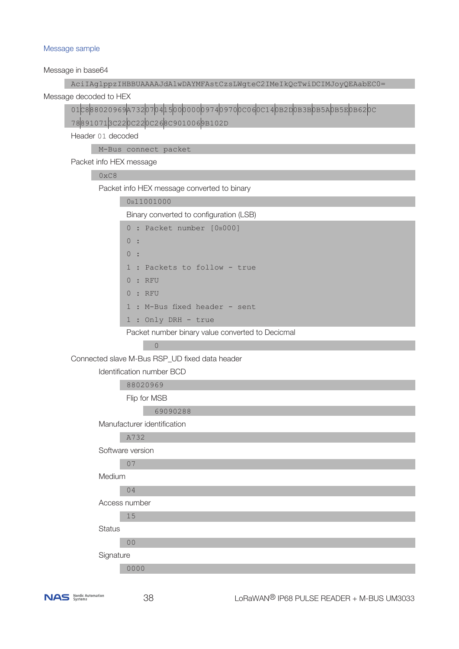#### Message sample

Message in base64

AciIAglppzIHBBUAAAAJdAlwDAYMFAstCzsLWgteC2IMeIkQcTwiDCIMJoyQEAabEC0=

Message decoded to HEX

01C888020969A732070415000000097409700C060C140B2D0B3B0B5A0B5E0B620C

788910713C220C220C268C9010069B102D

Header 01 decoded

M-Bus connect packet

Packet info HEX message

#### $0 \times C8$

Packet info HEX message converted to binary

| 0B11001000 |
|------------|
|------------|

Binary converted to configuration (LSB)

|       | $5.00011$ , $0.00111$ , $0.00011$ , $0.001111$ , $0.001111$ , $0.001111$ |
|-------|--------------------------------------------------------------------------|
|       | $0:$ Packet number $[0B000]$                                             |
| 0:    |                                                                          |
| 0:    |                                                                          |
|       | 1 : Packets to follow - true                                             |
| 0:RFU |                                                                          |
| 0:RFU |                                                                          |
|       | 1 : M-Bus fixed header - sent                                            |
|       | $1:$ Only DRH - true                                                     |

Packet number binary value converted to Decicmal

#### <u></u>

Connected slave M-Bus RSP\_UD fixed data header

Identification number BCD

88020969

Flip for MSB

69090288

Manufacturer identification

A732

Software version

#### 07

Medium

## 04

Access number

 15 **Status** 

00

**Signature** 

0000

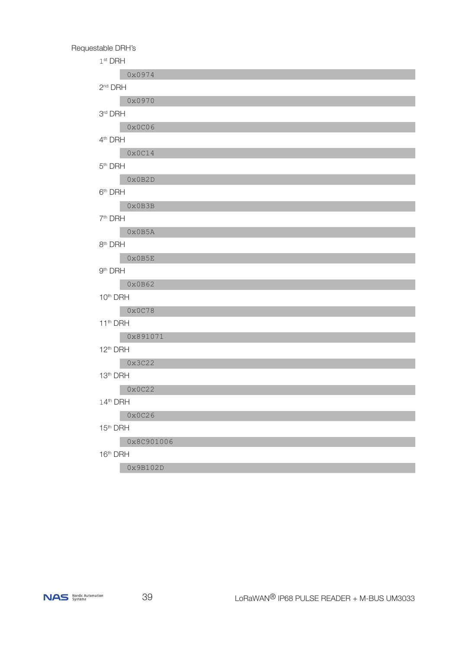

| Requestable DRH's              |
|--------------------------------|
| $1st$ DRH                      |
| 0x0974                         |
| $2nd$ DRH                      |
| 0x0970                         |
| 3rd DRH                        |
| 0x0C06                         |
| 4 <sup>th</sup> DRH            |
| $0 \times 0C14$                |
| 5 <sup>th</sup> DRH            |
| 0x0B2D                         |
| 6 <sup>th</sup> DRH            |
| 0x0B3B                         |
| 7 <sup>th</sup> DRH            |
| 0x0B5A                         |
| 8 <sup>th</sup> DRH            |
| $0 \times 0B5E$                |
| 9 <sup>th</sup> DRH            |
| 0x0B62<br>10 <sup>th</sup> DRH |
| $0 \times 0$ C78               |
| 11 <sup>th</sup> DRH           |
| 0x891071                       |
| $12th$ DRH                     |
| 0x3C22                         |
| 13 <sup>th</sup> DRH           |
| 0x0C22                         |
| 14th DRH                       |
| 0x0C26                         |
| 15 <sup>th</sup> DRH           |
| 0x8C901006                     |
| 16 <sup>th</sup> DRH           |
| 0x9B102D                       |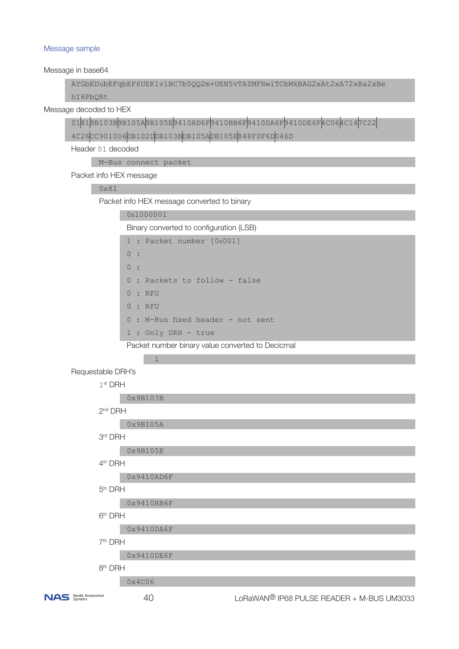#### Message sample

Message in base64

AYGbEDubEFqbEF6UEK1vlBC7b5QQ2m+UEN5vTAZMFHwiTCbMkBAG2xAt2xA72xBa2xBe

hI8PbQRt

Message decoded to HEX

01819B103B9B105A9B105E9410AD6F9410BB6F9410DA6F9410DE6F4C064C147C22 4C26CC901006DB102DDB103BDB105ADB105E848F0F6D046D

Header 01 decoded

M-Bus connect packet

Packet info HEX message

#### 0x81

Packet info HEX message converted to binary

#### 0b1000001

Binary converted to configuration (LSB)

|    | $1:$ Packet number $[0B001]$      |  |
|----|-----------------------------------|--|
| 0: |                                   |  |
| 0: |                                   |  |
|    | 0 : Packets to follow - false     |  |
|    | 0:RFU                             |  |
|    | 0:RFU                             |  |
|    | 0 : M-Bus fixed header - not sent |  |

1 : Only DRH - true

Packet number binary value converted to Decicmal

 $\sim$  1 Requestable DRH's

1<sup>st</sup> DRH

| 0x9B103B |
|----------|
|          |

## 2nd DRH

0x9B105A

```
 3rd DRH
```
0x9B105E

```
 4th DRH
```
0x9410AD6F

5th DRH

0x9410BB6F

6th DRH

0x9410DA6F

#### 7th DRH

0x9410DE6F

#### 8th DRH

0x4C06

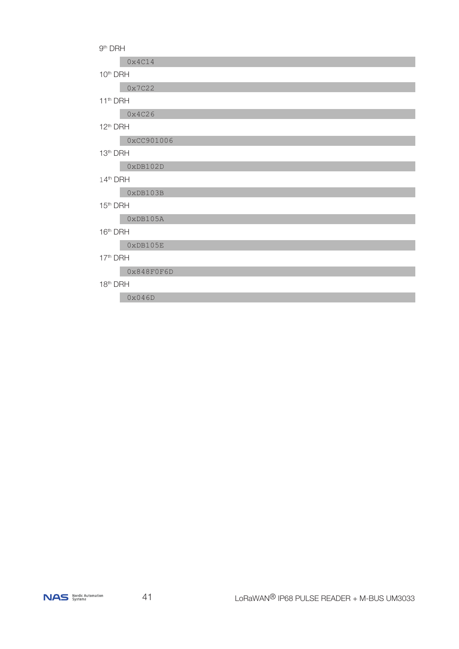

| 13th DRH             |            |  |  |
|----------------------|------------|--|--|
|                      | 0xDB102D   |  |  |
| 14th DRH             |            |  |  |
|                      | 0xDB103B   |  |  |
| 15 <sup>th</sup> DRH |            |  |  |
|                      | 0xDB105A   |  |  |
| 16th DRH             |            |  |  |
|                      | 0xDB105E   |  |  |
|                      | 17th DRH   |  |  |
|                      | 0x848F0F6D |  |  |
| 18 <sup>th</sup> DRH |            |  |  |

9th DRH

10th DRH

11th DRH

12th DRH

 $0x4C14$ 

 $0x7C22$ 

0x4C26

0x046D

0xCC901006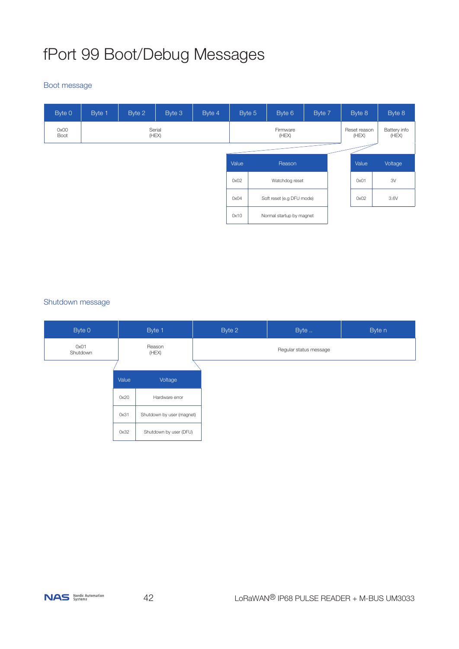# fPort 99 Boot/Debug Messages

#### Boot message

| Byte 0       | Byte 1 | Byte 2          | Byte 3 | Byte 4            | Byte 5                 | Byte 6                    | Byte 7 | Byte 8                | Byte 8                |
|--------------|--------|-----------------|--------|-------------------|------------------------|---------------------------|--------|-----------------------|-----------------------|
| 0x00<br>Boot |        | Serial<br>(HEX) |        | Firmware<br>(HEX) |                        |                           |        | Reset reason<br>(HEX) | Battery info<br>(HEX) |
|              |        |                 |        |                   | Value<br>Reason        |                           |        | Value                 | Voltage               |
|              |        |                 |        |                   | 0x02<br>Watchdog reset |                           |        | 0x01                  | 3V                    |
|              |        |                 |        |                   | 0x04                   | Soft reset (e.g DFU mode) |        | 0x02                  | 3.6V                  |
|              |        |                 |        |                   | 0x10                   | Normal startup by magnet  |        |                       |                       |

## Shutdown message

| Byte 0           |       | Byte 1                    | Byte 2 | Byte                   | Byte n |
|------------------|-------|---------------------------|--------|------------------------|--------|
| 0x01<br>Shutdown |       | Reason<br>(HEX)           |        | Regular status message |        |
|                  |       |                           |        |                        |        |
|                  | Value | Voltage                   |        |                        |        |
|                  | 0x20  | Hardware error            |        |                        |        |
|                  | 0x31  | Shutdown by user (magnet) |        |                        |        |
|                  | 0x32  | Shutdown by user (DFU)    |        |                        |        |

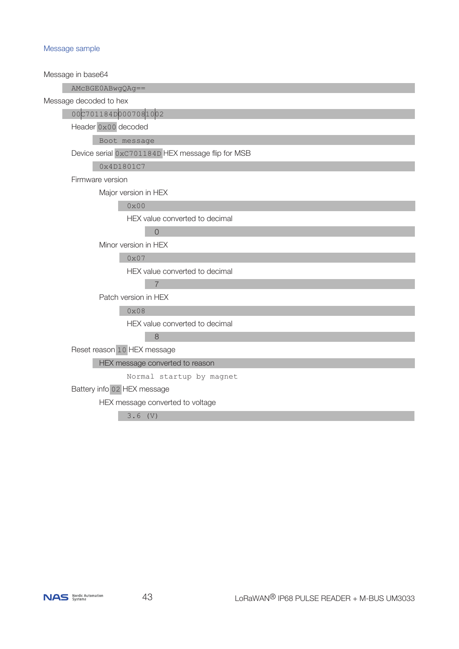#### Message sample

Message in base64 AMcBGE0ABwgQAg== Message decoded to hex 00C701184D0007081002 Header 0x00 decoded Boot message Device serial 0xC701184D HEX message flip for MSB 0x4D1801C7 Firmware version Major version in HEX 0x00 HEX value converted to decimal <u>0</u> Minor version in HEX 0x07 HEX value converted to decimal 7 Patch version in HEX 0x08 HEX value converted to decimal 8 Reset reason 10 HEX message HEX message converted to reason Normal startup by magnet Battery info 02 HEX message HEX message converted to voltage

3.6 (V)

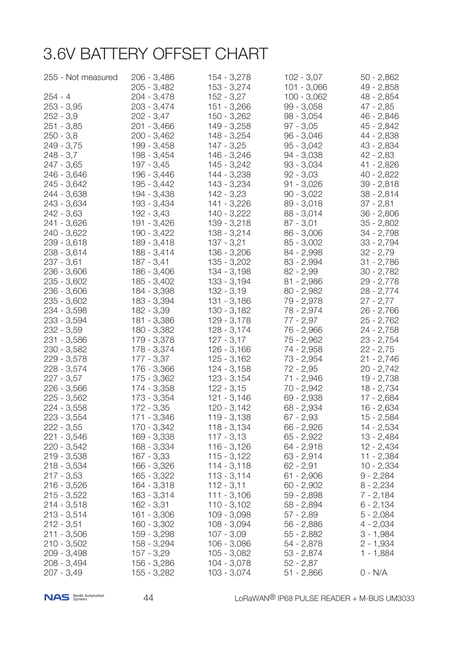## 3.6V BATTERY OFFSET CHART

| 255 - Not measured | 206 - 3,486   | 154 - 3,278   | $102 - 3,07$  | $50 - 2,862$ |
|--------------------|---------------|---------------|---------------|--------------|
|                    | 205 - 3,482   | $153 - 3,274$ | $101 - 3,066$ | 49 - 2,858   |
| $254 - 4$          | 204 - 3,478   | $152 - 3,27$  | $100 - 3,062$ | 48 - 2,854   |
| $253 - 3,95$       | 203 - 3,474   | 151 - 3,266   | $99 - 3,058$  | 47 - 2,85    |
| $252 - 3,9$        | $202 - 3,47$  | $150 - 3,262$ | $98 - 3,054$  | 46 - 2,846   |
| $251 - 3,85$       | 201 - 3,466   | 149 - 3,258   | $97 - 3,05$   | 45 - 2,842   |
| $250 - 3,8$        | 200 - 3,462   | 148 - 3,254   | $96 - 3,046$  | 44 - 2,838   |
| $249 - 3,75$       | 199 - 3,458   | $147 - 3,25$  | $95 - 3,042$  | 43 - 2,834   |
| $248 - 3,7$        | 198 - 3,454   | 146 - 3,246   | 94 - 3,038    | 42 - 2,83    |
| $247 - 3,65$       | $197 - 3,45$  | $145 - 3,242$ | $93 - 3,034$  | $41 - 2,826$ |
| 246 - 3,646        | 196 - 3,446   | 144 - 3,238   | $92 - 3,03$   | $40 - 2,822$ |
| 245 - 3,642        | 195 - 3,442   | 143 - 3,234   | $91 - 3,026$  | $39 - 2,818$ |
| 244 - 3,638        | 194 - 3,438   | $142 - 3,23$  | $90 - 3,022$  | $38 - 2,814$ |
| 243 - 3,634        | 193 - 3,434   | 141 - 3,226   | $89 - 3,018$  | $37 - 2,81$  |
| $242 - 3,63$       | 192 - 3,43    | $140 - 3,222$ | $88 - 3,014$  | $36 - 2,806$ |
| 241 - 3,626        | 191 - 3,426   | $139 - 3,218$ | $87 - 3,01$   | $35 - 2,802$ |
| 240 - 3,622        | 190 - 3,422   | $138 - 3,214$ | $86 - 3,006$  | $34 - 2,798$ |
| $239 - 3,618$      | 189 - 3,418   | $137 - 3,21$  | $85 - 3,002$  | $33 - 2,794$ |
| 238 - 3,614        | 188 - 3,414   | $136 - 3,206$ | 84 - 2,998    | $32 - 2,79$  |
| $237 - 3,61$       | $187 - 3,41$  | $135 - 3,202$ | 83 - 2,994    | $31 - 2,786$ |
| $236 - 3,606$      | 186 - 3,406   | 134 - 3,198   | $82 - 2,99$   | $30 - 2,782$ |
| $235 - 3,602$      | 185 - 3,402   | $133 - 3,194$ | $81 - 2,986$  | 29 - 2,778   |
| $236 - 3,606$      | 184 - 3,398   | $132 - 3,19$  | $80 - 2,982$  | $28 - 2,774$ |
| $235 - 3,602$      | 183 - 3,394   | $131 - 3,186$ | 79 - 2,978    | $27 - 2,77$  |
| 234 - 3,598        | 182 - 3,39    | 130 - 3,182   | 78 - 2,974    | $26 - 2,766$ |
| 233 - 3,594        | 181 - 3,386   | $129 - 3,178$ | $77 - 2,97$   | $25 - 2,762$ |
| $232 - 3,59$       | 180 - 3,382   | $128 - 3,174$ | 76 - 2,966    | $24 - 2,758$ |
| 231 - 3,586        | 179 - 3,378   | $127 - 3,17$  | 75 - 2,962    | $23 - 2,754$ |
| 230 - 3,582        | 178 - 3,374   | $126 - 3,166$ | 74 - 2,958    | $22 - 2,75$  |
| 229 - 3,578        | $177 - 3,37$  | $125 - 3,162$ | 73 - 2,954    | $21 - 2,746$ |
| 228 - 3,574        | 176 - 3,366   | $124 - 3,158$ | $72 - 2,95$   | $20 - 2,742$ |
| $227 - 3,57$       | 175 - 3,362   | $123 - 3,154$ | 71 - 2,946    | $19 - 2,738$ |
| $226 - 3,566$      | 174 - 3,358   | $122 - 3,15$  | 70 - 2,942    | $18 - 2,734$ |
| $225 - 3,562$      | 173 - 3,354   | $121 - 3,146$ | 69 - 2,938    | $17 - 2,684$ |
| $224 - 3,558$      | $172 - 3,35$  | $120 - 3,142$ | 68 - 2,934    | 16 - 2,634   |
| 223 - 3,554        | 171 - 3,346   | $119 - 3,138$ | $67 - 2,93$   | 15 - 2,584   |
| $222 - 3,55$       | 170 - 3,342   | $118 - 3,134$ | $66 - 2,926$  | $14 - 2,534$ |
| 221 - 3,546        | 169 - 3,338   | $117 - 3,13$  | $65 - 2,922$  | $13 - 2,484$ |
| $220 - 3,542$      | 168 - 3,334   | $116 - 3,126$ | $64 - 2,918$  | $12 - 2,434$ |
| 219 - 3,538        | 167 - 3,33    | $115 - 3,122$ | $63 - 2,914$  | $11 - 2,384$ |
| $218 - 3,534$      | $166 - 3,326$ | $114 - 3,118$ | $62 - 2,91$   | $10 - 2,334$ |
| $217 - 3,53$       | $165 - 3,322$ | $113 - 3,114$ | $61 - 2,906$  | $9 - 2,284$  |
| $216 - 3,526$      | $164 - 3,318$ | $112 - 3,11$  | $60 - 2,902$  | $8 - 2,234$  |
| $215 - 3,522$      | $163 - 3,314$ | $111 - 3,106$ | $59 - 2,898$  | $7 - 2,184$  |
| $214 - 3,518$      | $162 - 3,31$  | $110 - 3,102$ | 58 - 2,894    | $6 - 2,134$  |
| $213 - 3,514$      | 161 - 3,306   | $109 - 3,098$ | $57 - 2,89$   | $5 - 2,084$  |
| $212 - 3,51$       | $160 - 3,302$ | $108 - 3,094$ | $56 - 2,886$  | $4 - 2,034$  |
| $211 - 3,506$      | 159 - 3,298   | $107 - 3,09$  | $55 - 2,882$  | $3 - 1,984$  |
| $210 - 3,502$      | 158 - 3,294   | $106 - 3,086$ | 54 - 2,878    | $2 - 1,934$  |
| 209 - 3,498        | 157 - 3,29    | $105 - 3,082$ | $53 - 2,874$  | $1 - 1,884$  |
| $208 - 3,494$      | 156 - 3,286   | $104 - 3,078$ | $52 - 2,87$   |              |
| $207 - 3,49$       | 155 - 3,282   | $103 - 3,074$ | $51 - 2,866$  | $0 - N/A$    |
|                    |               |               |               |              |

NAS Nordic Automation

44 LoRaWAN® IP68 PULSE READER + M-BUS UM3033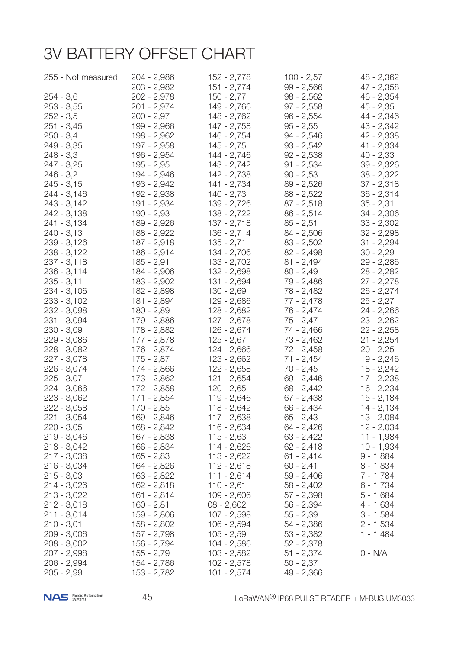# 3V BATTERY OFFSET CHART

| 255 - Not measured         | 204 - 2,986   | 152 - 2,778                  | $100 - 2,57$                | 48 - 2,362   |
|----------------------------|---------------|------------------------------|-----------------------------|--------------|
|                            | 203 - 2,982   | 151 - 2,774                  | $99 - 2,566$                | 47 - 2,358   |
| $254 - 3,6$                | 202 - 2,978   | $150 - 2,77$                 | $98 - 2,562$                | 46 - 2,354   |
| $253 - 3,55$               | 201 - 2,974   | 149 - 2,766                  | $97 - 2,558$                | $45 - 2,35$  |
| $252 - 3,5$                | 200 - 2,97    | 148 - 2,762                  | $96 - 2,554$                | 44 - 2,346   |
| $251 - 3,45$               | 199 - 2,966   | $147 - 2,758$                | $95 - 2,55$                 | 43 - 2,342   |
| $250 - 3,4$                | 198 - 2,962   | 146 - 2,754                  | $94 - 2,546$                | 42 - 2,338   |
| 249 - 3,35                 | 197 - 2,958   | $145 - 2,75$                 | $93 - 2,542$                | 41 - 2,334   |
| $248 - 3,3$                | 196 - 2,954   | 144 - 2,746                  | $92 - 2,538$                | $40 - 2,33$  |
| $247 - 3,25$               | $195 - 2,95$  | 143 - 2,742                  | $91 - 2,534$                | $39 - 2,326$ |
| $246 - 3,2$                | 194 - 2,946   | 142 - 2,738                  | $90 - 2,53$                 | $38 - 2,322$ |
| $245 - 3,15$               | 193 - 2,942   | 141 - 2,734                  | $89 - 2,526$                | $37 - 2,318$ |
| 244 - 3,146                | 192 - 2,938   | $140 - 2,73$                 | $88 - 2,522$                | $36 - 2,314$ |
| 243 - 3,142                | 191 - 2,934   | 139 - 2,726                  | $87 - 2,518$                | $35 - 2,31$  |
| 242 - 3,138                | 190 - 2,93    | $138 - 2,722$                | $86 - 2,514$                | $34 - 2,306$ |
| 241 - 3,134                | 189 - 2,926   | $137 - 2,718$                | $85 - 2,51$                 | $33 - 2,302$ |
| $240 - 3,13$               | 188 - 2,922   | $136 - 2,714$                | $84 - 2,506$                | $32 - 2,298$ |
| 239 - 3,126                | 187 - 2,918   | $135 - 2,71$                 | $83 - 2,502$                | $31 - 2,294$ |
| 238 - 3,122                | 186 - 2,914   | 134 - 2,706                  | $82 - 2,498$                | $30 - 2,29$  |
| $237 - 3,118$              | $185 - 2,91$  | $133 - 2,702$                | $81 - 2,494$                | 29 - 2,286   |
| $236 - 3,114$              | 184 - 2,906   | 132 - 2,698                  | $80 - 2,49$                 | $28 - 2,282$ |
| $235 - 3,11$               | 183 - 2,902   | 131 - 2,694                  | 79 - 2,486                  | $27 - 2,278$ |
| 234 - 3,106                | 182 - 2,898   | $130 - 2,69$                 | 78 - 2,482                  | $26 - 2,274$ |
| $233 - 3,102$              | 181 - 2,894   | 129 - 2,686                  | 77 - 2,478                  | $25 - 2,27$  |
| 232 - 3,098                | 180 - 2,89    | 128 - 2,682                  | 76 - 2,474                  | $24 - 2,266$ |
| 231 - 3,094                | 179 - 2,886   | $127 - 2,678$                | $75 - 2,47$                 | $23 - 2,262$ |
| $230 - 3,09$               | 178 - 2,882   | 126 - 2,674                  | 74 - 2,466                  | $22 - 2,258$ |
| 229 - 3,086                | 177 - 2,878   | $125 - 2,67$                 | 73 - 2,462                  | $21 - 2,254$ |
|                            | 176 - 2,874   | 124 - 2,666                  | $72 - 2,458$                | $20 - 2,25$  |
| 228 - 3,082<br>227 - 3,078 | $175 - 2,87$  | $123 - 2,662$                | 71 - 2,454                  | $19 - 2,246$ |
|                            |               |                              |                             |              |
| 226 - 3,074                | 174 - 2,866   | $122 - 2,658$<br>121 - 2,654 | $70 - 2,45$<br>$69 - 2,446$ | $18 - 2,242$ |
| $225 - 3,07$               | 173 - 2,862   |                              |                             | $17 - 2,238$ |
| 224 - 3,066                | $172 - 2,858$ | $120 - 2,65$                 | 68 - 2,442                  | $16 - 2,234$ |
| $223 - 3,062$              | 171 - 2,854   | 119 - 2,646                  | $67 - 2,438$                | $15 - 2,184$ |
| $222 - 3,058$              | 170 - 2,85    | 118 - 2,642                  | 66 - 2,434                  | 14 - 2,134   |
| 221 - 3,054                | 169 - 2,846   | 117 - 2,638                  | $65 - 2,43$                 | $13 - 2,084$ |
| $220 - 3,05$               | 168 - 2,842   | $116 - 2,634$                | $64 - 2,426$                | $12 - 2,034$ |
| $219 - 3,046$              | 167 - 2,838   | $115 - 2,63$                 | $63 - 2,422$                | $11 - 1,984$ |
| $218 - 3,042$              | 166 - 2,834   | $114 - 2,626$                | $62 - 2,418$                | $10 - 1,934$ |
| $217 - 3,038$              | $165 - 2,83$  | $113 - 2,622$                | $61 - 2,414$                | $9 - 1,884$  |
| $216 - 3,034$              | 164 - 2,826   | $112 - 2,618$                | $60 - 2,41$                 | $8 - 1,834$  |
| $215 - 3,03$               | $163 - 2,822$ | $111 - 2,614$                | $59 - 2,406$                | $7 - 1,784$  |
| $214 - 3,026$              | 162 - 2,818   | $110 - 2,61$                 | $58 - 2,402$                | $6 - 1,734$  |
| $213 - 3,022$              | $161 - 2,814$ | $109 - 2,606$                | $57 - 2,398$                | $5 - 1,684$  |
| $212 - 3,018$              | $160 - 2,81$  | $08 - 2,602$                 | 56 - 2,394                  | $4 - 1,634$  |
| $211 - 3,014$              | 159 - 2,806   | $107 - 2,598$                | $55 - 2,39$                 | $3 - 1,584$  |
| $210 - 3,01$               | $158 - 2,802$ | $106 - 2,594$                | 54 - 2,386                  | $2 - 1,534$  |
| $209 - 3,006$              | 157 - 2,798   | $105 - 2,59$                 | $53 - 2,382$                | $1 - 1,484$  |
| $208 - 3,002$              | 156 - 2,794   | 104 - 2,586                  | $52 - 2,378$                |              |
| 207 - 2,998                | 155 - 2,79    | $103 - 2,582$                | $51 - 2,374$                | $0 - N/A$    |
| $206 - 2,994$              | 154 - 2,786   | $102 - 2,578$                | $50 - 2,37$                 |              |
| $205 - 2,99$               | 153 - 2,782   | $101 - 2,574$                | 49 - 2,366                  |              |

NAS Nordic Automation

45 LoRaWAN® IP68 PULSE READER + M-BUS UM3033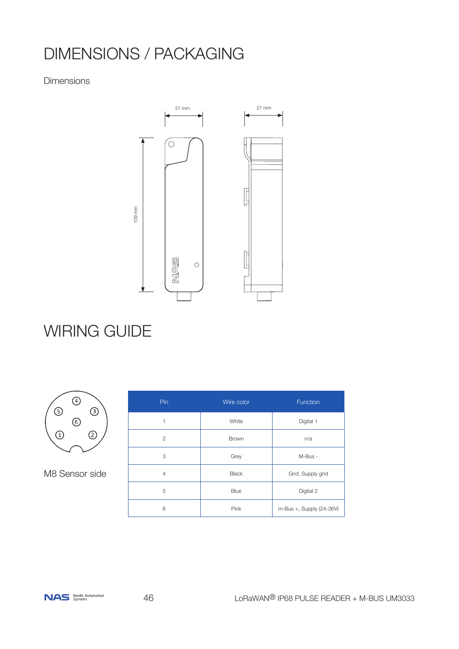# DIMENSIONS / PACKAGING

## Dimensions



# WIRING GUIDE



M8 Sensor side

| Pin            | Wire color   | Function                 |
|----------------|--------------|--------------------------|
| 1              | White        | Digital 1                |
| $\overline{2}$ | Brown        | n/a                      |
| 3              | Grey         | M-Bus -                  |
| $\overline{4}$ | <b>Black</b> | Gnd, Supply gnd          |
| 5              | Blue         | Digital 2                |
| 6              | Pink         | m-Bus +, Supply (24-36V) |

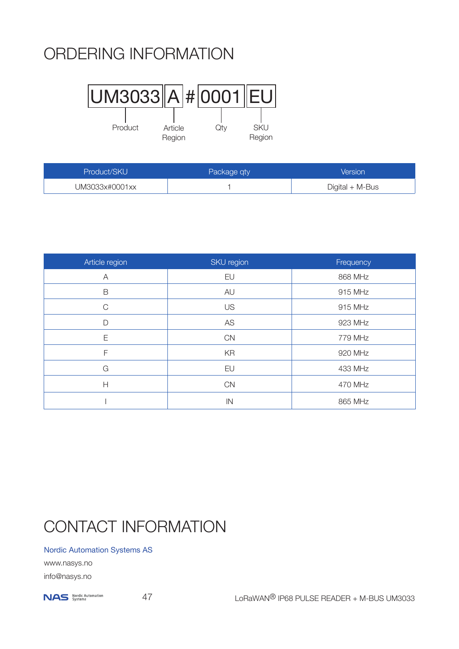# ORDERING INFORMATION



| Product/SKU    | Package qty | Version         |
|----------------|-------------|-----------------|
| UM3033x#0001xx |             | Digital + M-Bus |

| Article region | SKU region    | Frequency |
|----------------|---------------|-----------|
| A              | EU            | 868 MHz   |
| $\mathsf B$    | AU            | 915 MHz   |
| $\mathsf{C}$   | <b>US</b>     | 915 MHz   |
| D              | AS            | 923 MHz   |
| Ε              | CN            | 779 MHz   |
| F              | KR            | 920 MHz   |
| G              | EU            | 433 MHz   |
| Н              | CN            | 470 MHz   |
|                | $\mathsf{IN}$ | 865 MHz   |

# CONTACT INFORMATION

## Nordic Automation Systems AS

www.nasys.no info@nasys.no